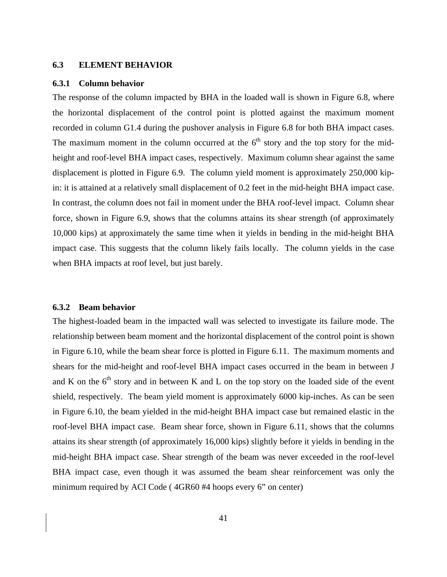### **6.3 ELEMENT BEHAVIOR**

#### **6.3.1 Column behavior**

The response of the column impacted by BHA in the loaded wall is shown in Figure 6.8, where the horizontal displacement of the control point is plotted against the maximum moment recorded in column G1.4 during the pushover analysis in Figure 6.8 for both BHA impact cases. The maximum moment in the column occurred at the  $6<sup>th</sup>$  story and the top story for the midheight and roof-level BHA impact cases, respectively. Maximum column shear against the same displacement is plotted in Figure 6.9. The column yield moment is approximately 250,000 kipin: it is attained at a relatively small displacement of 0.2 feet in the mid-height BHA impact case. In contrast, the column does not fail in moment under the BHA roof-level impact. Column shear force, shown in Figure 6.9, shows that the columns attains its shear strength (of approximately 10,000 kips) at approximately the same time when it yields in bending in the mid-height BHA impact case. This suggests that the column likely fails locally. The column yields in the case when BHA impacts at roof level, but just barely.

### **6.3.2 Beam behavior**

The highest-loaded beam in the impacted wall was selected to investigate its failure mode. The relationship between beam moment and the horizontal displacement of the control point is shown in Figure 6.10, while the beam shear force is plotted in Figure 6.11. The maximum moments and shears for the mid-height and roof-level BHA impact cases occurred in the beam in between J and K on the  $6<sup>th</sup>$  story and in between K and L on the top story on the loaded side of the event shield, respectively. The beam yield moment is approximately 6000 kip-inches. As can be seen in Figure 6.10, the beam yielded in the mid-height BHA impact case but remained elastic in the roof-level BHA impact case. Beam shear force, shown in Figure 6.11, shows that the columns attains its shear strength (of approximately 16,000 kips) slightly before it yields in bending in the mid-height BHA impact case. Shear strength of the beam was never exceeded in the roof-level BHA impact case, even though it was assumed the beam shear reinforcement was only the minimum required by ACI Code ( 4GR60 #4 hoops every 6" on center)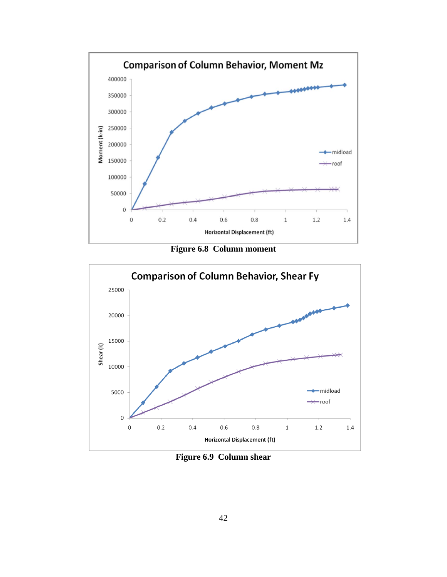

**Figure 6.8 Column moment** 



Figure 6.9 Column shear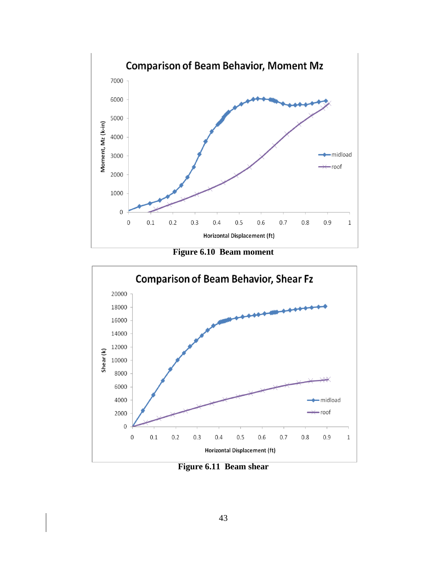

**Figure 6.10 Beam moment** 



**Figure 6.11 Beam shear**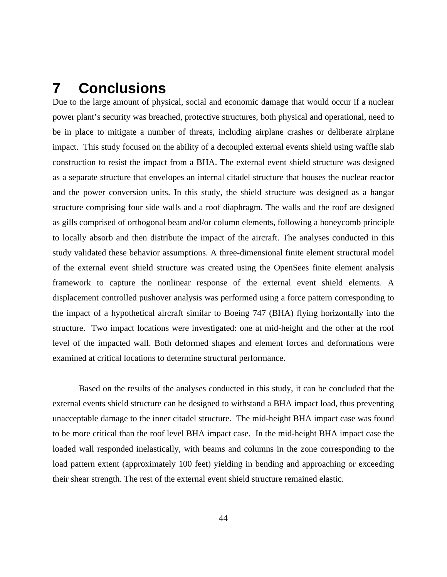# **7 Conclusions**

Due to the large amount of physical, social and economic damage that would occur if a nuclear power plant's security was breached, protective structures, both physical and operational, need to be in place to mitigate a number of threats, including airplane crashes or deliberate airplane impact. This study focused on the ability of a decoupled external events shield using waffle slab construction to resist the impact from a BHA. The external event shield structure was designed as a separate structure that envelopes an internal citadel structure that houses the nuclear reactor and the power conversion units. In this study, the shield structure was designed as a hangar structure comprising four side walls and a roof diaphragm. The walls and the roof are designed as gills comprised of orthogonal beam and/or column elements, following a honeycomb principle to locally absorb and then distribute the impact of the aircraft. The analyses conducted in this study validated these behavior assumptions. A three-dimensional finite element structural model of the external event shield structure was created using the OpenSees finite element analysis framework to capture the nonlinear response of the external event shield elements. A displacement controlled pushover analysis was performed using a force pattern corresponding to the impact of a hypothetical aircraft similar to Boeing 747 (BHA) flying horizontally into the structure. Two impact locations were investigated: one at mid-height and the other at the roof level of the impacted wall. Both deformed shapes and element forces and deformations were examined at critical locations to determine structural performance.

Based on the results of the analyses conducted in this study, it can be concluded that the external events shield structure can be designed to withstand a BHA impact load, thus preventing unacceptable damage to the inner citadel structure. The mid-height BHA impact case was found to be more critical than the roof level BHA impact case. In the mid-height BHA impact case the loaded wall responded inelastically, with beams and columns in the zone corresponding to the load pattern extent (approximately 100 feet) yielding in bending and approaching or exceeding their shear strength. The rest of the external event shield structure remained elastic.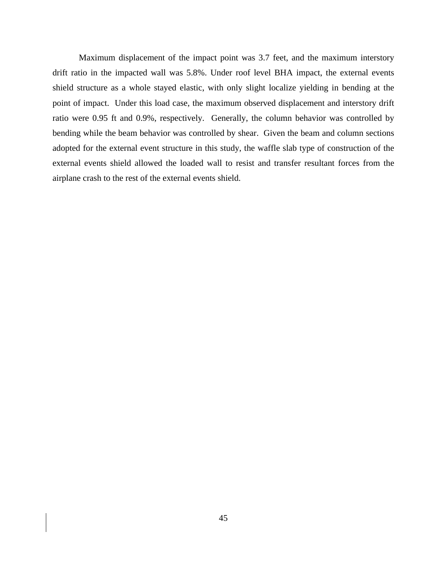Maximum displacement of the impact point was 3.7 feet, and the maximum interstory drift ratio in the impacted wall was 5.8%. Under roof level BHA impact, the external events shield structure as a whole stayed elastic, with only slight localize yielding in bending at the point of impact. Under this load case, the maximum observed displacement and interstory drift ratio were 0.95 ft and 0.9%, respectively. Generally, the column behavior was controlled by bending while the beam behavior was controlled by shear. Given the beam and column sections adopted for the external event structure in this study, the waffle slab type of construction of the external events shield allowed the loaded wall to resist and transfer resultant forces from the airplane crash to the rest of the external events shield.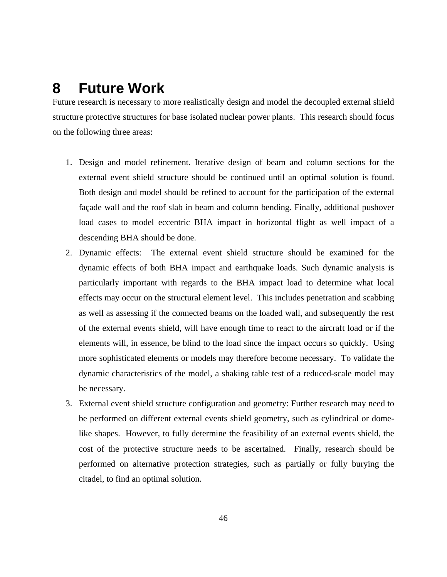# **8 Future Work**

Future research is necessary to more realistically design and model the decoupled external shield structure protective structures for base isolated nuclear power plants. This research should focus on the following three areas:

- 1. Design and model refinement. Iterative design of beam and column sections for the external event shield structure should be continued until an optimal solution is found. Both design and model should be refined to account for the participation of the external façade wall and the roof slab in beam and column bending. Finally, additional pushover load cases to model eccentric BHA impact in horizontal flight as well impact of a descending BHA should be done.
- 2. Dynamic effects: The external event shield structure should be examined for the dynamic effects of both BHA impact and earthquake loads. Such dynamic analysis is particularly important with regards to the BHA impact load to determine what local effects may occur on the structural element level. This includes penetration and scabbing as well as assessing if the connected beams on the loaded wall, and subsequently the rest of the external events shield, will have enough time to react to the aircraft load or if the elements will, in essence, be blind to the load since the impact occurs so quickly. Using more sophisticated elements or models may therefore become necessary. To validate the dynamic characteristics of the model, a shaking table test of a reduced-scale model may be necessary.
- 3. External event shield structure configuration and geometry: Further research may need to be performed on different external events shield geometry, such as cylindrical or domelike shapes. However, to fully determine the feasibility of an external events shield, the cost of the protective structure needs to be ascertained. Finally, research should be performed on alternative protection strategies, such as partially or fully burying the citadel, to find an optimal solution.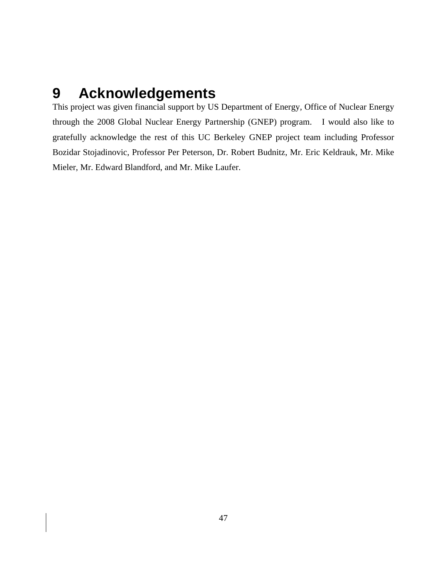# **9 Acknowledgements**

This project was given financial support by US Department of Energy, Office of Nuclear Energy through the 2008 Global Nuclear Energy Partnership (GNEP) program. I would also like to gratefully acknowledge the rest of this UC Berkeley GNEP project team including Professor Bozidar Stojadinovic, Professor Per Peterson, Dr. Robert Budnitz, Mr. Eric Keldrauk, Mr. Mike Mieler, Mr. Edward Blandford, and Mr. Mike Laufer.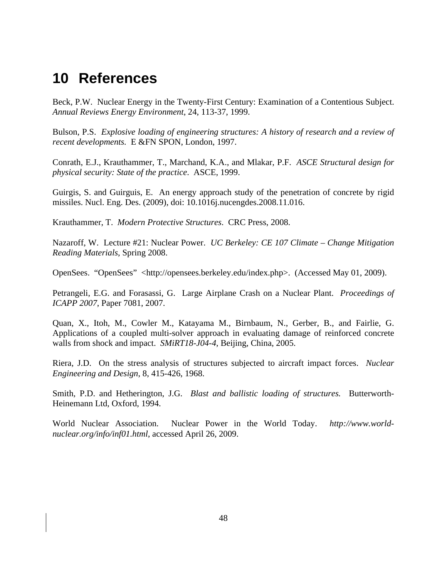# **10 References**

Beck, P.W. Nuclear Energy in the Twenty-First Century: Examination of a Contentious Subject. *Annual Reviews Energy Environment*, 24, 113-37, 1999.

Bulson, P.S. *Explosive loading of engineering structures: A history of research and a review of recent developments.* E &FN SPON, London, 1997.

Conrath, E.J., Krauthammer, T., Marchand, K.A., and Mlakar, P.F. *ASCE Structural design for physical security: State of the practice*. ASCE, 1999.

Guirgis, S. and Guirguis, E. An energy approach study of the penetration of concrete by rigid missiles. Nucl. Eng. Des. (2009), doi: 10.1016j.nucengdes.2008.11.016.

Krauthammer, T. *Modern Protective Structures*. CRC Press, 2008.

Nazaroff, W. Lecture #21: Nuclear Power. *UC Berkeley: CE 107 Climate – Change Mitigation Reading Materials*, Spring 2008.

OpenSees. "OpenSees" <http://opensees.berkeley.edu/index.php>. (Accessed May 01, 2009).

Petrangeli, E.G. and Forasassi, G. Large Airplane Crash on a Nuclear Plant. *Proceedings of ICAPP 2007*, Paper 7081, 2007.

Quan, X., Itoh, M., Cowler M., Katayama M., Birnbaum, N., Gerber, B., and Fairlie, G. Applications of a coupled multi-solver approach in evaluating damage of reinforced concrete walls from shock and impact. *SMiRT18-J04-4,* Beijing, China, 2005.

Riera, J.D. On the stress analysis of structures subjected to aircraft impact forces. *Nuclear Engineering and Design*, 8, 415-426, 1968.

Smith, P.D. and Hetherington, J.G. *Blast and ballistic loading of structures.* Butterworth-Heinemann Ltd, Oxford, 1994.

World Nuclear Association. Nuclear Power in the World Today. *http://www.worldnuclear.org/info/inf01.html*, accessed April 26, 2009.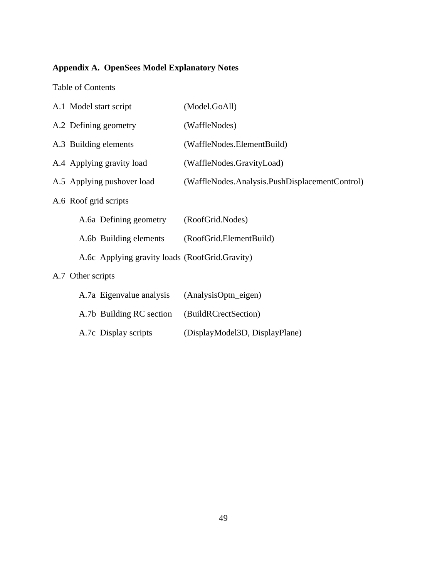# **Appendix A. OpenSees Model Explanatory Notes**

Table of Contents

| A.1 Model start script                         | (Model.GoAll)                                  |  |  |  |
|------------------------------------------------|------------------------------------------------|--|--|--|
| A.2 Defining geometry                          | (WaffleNodes)                                  |  |  |  |
| A.3 Building elements                          | (WaffleNodes.ElementBuild)                     |  |  |  |
| A.4 Applying gravity load                      | (WaffleNodes.GravityLoad)                      |  |  |  |
| A.5 Applying pushover load                     | (WaffleNodes.Analysis.PushDisplacementControl) |  |  |  |
| A.6 Roof grid scripts                          |                                                |  |  |  |
| A.6a Defining geometry                         | (RoofGrid.Nodes)                               |  |  |  |
| A.6b Building elements                         | (RoofGrid.ElementBuild)                        |  |  |  |
| A.6c Applying gravity loads (RoofGrid.Gravity) |                                                |  |  |  |
| A.7 Other scripts                              |                                                |  |  |  |
| A.7a Eigenvalue analysis                       | (AnalysisOptn_eigen)                           |  |  |  |
| A.7b Building RC section                       | (BuildRCrectSection)                           |  |  |  |
| A.7c Display scripts                           | (DisplayModel3D, DisplayPlane)                 |  |  |  |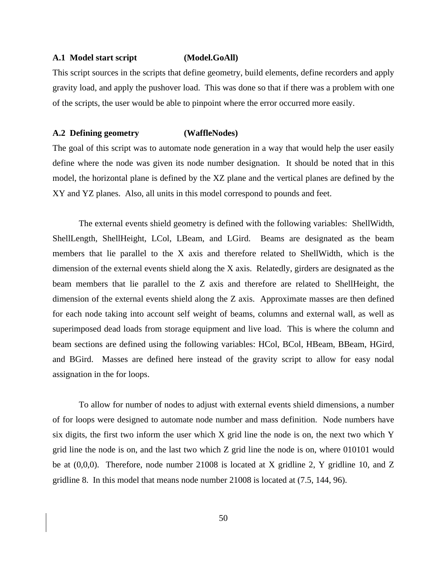#### **A.1 Model start script (Model.GoAll)**

This script sources in the scripts that define geometry, build elements, define recorders and apply gravity load, and apply the pushover load. This was done so that if there was a problem with one of the scripts, the user would be able to pinpoint where the error occurred more easily.

#### **A.2 Defining geometry (WaffleNodes)**

The goal of this script was to automate node generation in a way that would help the user easily define where the node was given its node number designation. It should be noted that in this model, the horizontal plane is defined by the XZ plane and the vertical planes are defined by the XY and YZ planes. Also, all units in this model correspond to pounds and feet.

The external events shield geometry is defined with the following variables: ShellWidth, ShellLength, ShellHeight, LCol, LBeam, and LGird. Beams are designated as the beam members that lie parallel to the X axis and therefore related to ShellWidth, which is the dimension of the external events shield along the X axis. Relatedly, girders are designated as the beam members that lie parallel to the Z axis and therefore are related to ShellHeight, the dimension of the external events shield along the Z axis. Approximate masses are then defined for each node taking into account self weight of beams, columns and external wall, as well as superimposed dead loads from storage equipment and live load. This is where the column and beam sections are defined using the following variables: HCol, BCol, HBeam, BBeam, HGird, and BGird. Masses are defined here instead of the gravity script to allow for easy nodal assignation in the for loops.

To allow for number of nodes to adjust with external events shield dimensions, a number of for loops were designed to automate node number and mass definition. Node numbers have six digits, the first two inform the user which X grid line the node is on, the next two which Y grid line the node is on, and the last two which Z grid line the node is on, where 010101 would be at (0,0,0). Therefore, node number 21008 is located at X gridline 2, Y gridline 10, and Z gridline 8. In this model that means node number 21008 is located at (7.5, 144, 96).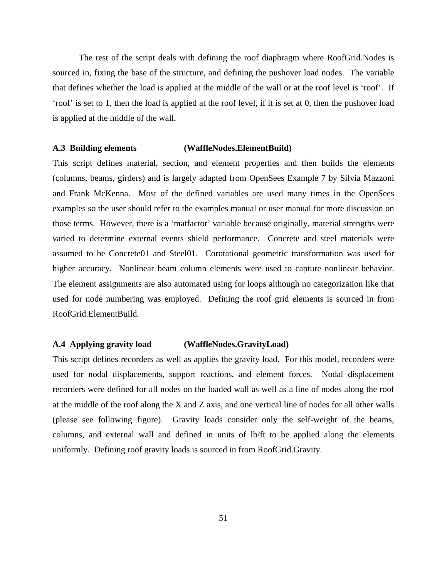The rest of the script deals with defining the roof diaphragm where RoofGrid.Nodes is sourced in, fixing the base of the structure, and defining the pushover load nodes. The variable that defines whether the load is applied at the middle of the wall or at the roof level is 'roof'. If 'roof' is set to 1, then the load is applied at the roof level, if it is set at 0, then the pushover load is applied at the middle of the wall.

#### **A.3 Building elements (WaffleNodes.ElementBuild)**

This script defines material, section, and element properties and then builds the elements (columns, beams, girders) and is largely adapted from OpenSees Example 7 by Silvia Mazzoni and Frank McKenna. Most of the defined variables are used many times in the OpenSees examples so the user should refer to the examples manual or user manual for more discussion on those terms. However, there is a 'matfactor' variable because originally, material strengths were varied to determine external events shield performance. Concrete and steel materials were assumed to be Concrete01 and Steel01. Corotational geometric transformation was used for higher accuracy. Nonlinear beam column elements were used to capture nonlinear behavior. The element assignments are also automated using for loops although no categorization like that used for node numbering was employed. Defining the roof grid elements is sourced in from RoofGrid.ElementBuild.

### **A.4 Applying gravity load (WaffleNodes.GravityLoad)**

This script defines recorders as well as applies the gravity load. For this model, recorders were used for nodal displacements, support reactions, and element forces. Nodal displacement recorders were defined for all nodes on the loaded wall as well as a line of nodes along the roof at the middle of the roof along the X and Z axis, and one vertical line of nodes for all other walls (please see following figure). Gravity loads consider only the self-weight of the beams, columns, and external wall and defined in units of lb/ft to be applied along the elements uniformly. Defining roof gravity loads is sourced in from RoofGrid.Gravity.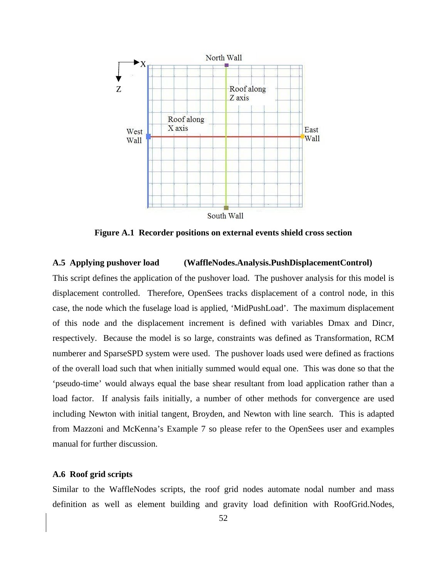

**Figure A.1 Recorder positions on external events shield cross section** 

# **A.5 Applying pushover load (WaffleNodes.Analysis.PushDisplacementControl)**

This script defines the application of the pushover load. The pushover analysis for this model is displacement controlled. Therefore, OpenSees tracks displacement of a control node, in this case, the node which the fuselage load is applied, 'MidPushLoad'. The maximum displacement of this node and the displacement increment is defined with variables Dmax and Dincr, respectively. Because the model is so large, constraints was defined as Transformation, RCM numberer and SparseSPD system were used. The pushover loads used were defined as fractions of the overall load such that when initially summed would equal one. This was done so that the 'pseudo-time' would always equal the base shear resultant from load application rather than a load factor. If analysis fails initially, a number of other methods for convergence are used including Newton with initial tangent, Broyden, and Newton with line search. This is adapted from Mazzoni and McKenna's Example 7 so please refer to the OpenSees user and examples manual for further discussion.

### **A.6 Roof grid scripts**

Similar to the WaffleNodes scripts, the roof grid nodes automate nodal number and mass definition as well as element building and gravity load definition with RoofGrid.Nodes,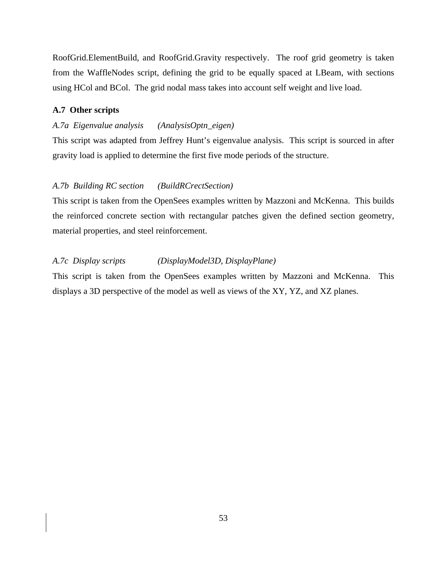RoofGrid.ElementBuild, and RoofGrid.Gravity respectively. The roof grid geometry is taken from the WaffleNodes script, defining the grid to be equally spaced at LBeam, with sections using HCol and BCol. The grid nodal mass takes into account self weight and live load.

## **A.7 Other scripts**

# *A.7a Eigenvalue analysis (AnalysisOptn\_eigen)*

This script was adapted from Jeffrey Hunt's eigenvalue analysis. This script is sourced in after gravity load is applied to determine the first five mode periods of the structure.

#### *A.7b Building RC section (BuildRCrectSection)*

This script is taken from the OpenSees examples written by Mazzoni and McKenna. This builds the reinforced concrete section with rectangular patches given the defined section geometry, material properties, and steel reinforcement.

# *A.7c Display scripts (DisplayModel3D, DisplayPlane)*

This script is taken from the OpenSees examples written by Mazzoni and McKenna. This displays a 3D perspective of the model as well as views of the XY, YZ, and XZ planes.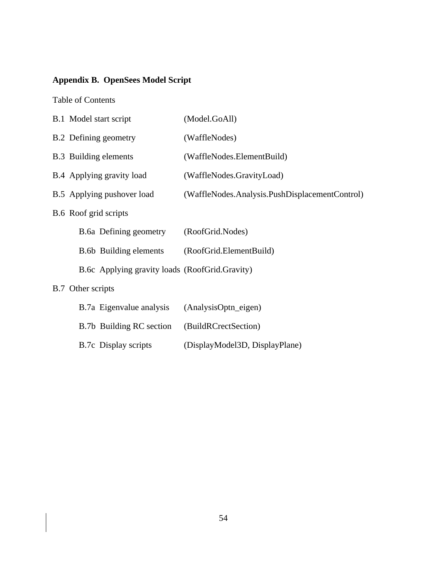# **Appendix B. OpenSees Model Script**

Table of Contents

| B.1 Model start script                         | (Model.GoAll)                                  |
|------------------------------------------------|------------------------------------------------|
| <b>B.2</b> Defining geometry                   | (WaffleNodes)                                  |
| <b>B.3</b> Building elements                   | (WaffleNodes.ElementBuild)                     |
| B.4 Applying gravity load                      | (WaffleNodes.GravityLoad)                      |
| B.5 Applying pushover load                     | (WaffleNodes.Analysis.PushDisplacementControl) |
| B.6 Roof grid scripts                          |                                                |
| B.6a Defining geometry                         | (RoofGrid.Nodes)                               |
| <b>B.6b</b> Building elements                  | (RoofGrid.ElementBuild)                        |
| B.6c Applying gravity loads (RoofGrid.Gravity) |                                                |
| B.7 Other scripts                              |                                                |
| B.7a Eigenvalue analysis                       | (AnalysisOptn_eigen)                           |
| B.7b Building RC section                       | (BuildRCrectSection)                           |

B.7c Display scripts (DisplayModel3D, DisplayPlane)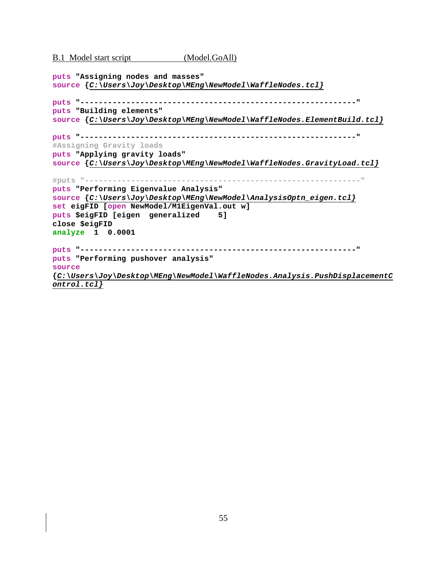B.1 Model start script (Model.GoAll)

```
puts "Assigning nodes and masses" 
source {C:\Users\Joy\Desktop\MEng\NewModel\WaffleNodes.tcl}
puts "------------------------------------------------------------" 
puts "Building elements" 
source {C:\Users\Joy\Desktop\MEng\NewModel\WaffleNodes.ElementBuild.tcl}
puts "------------------------------------------------------------" 
#Assigning Gravity loads 
puts "Applying gravity loads" 
source {C:\Users\Joy\Desktop\MEng\NewModel\WaffleNodes.GravityLoad.tcl}
#puts "------------------------------------------------------------" 
puts "Performing Eigenvalue Analysis" 
source {C:\Users\Joy\Desktop\MEng\NewModel\AnalysisOptn_eigen.tcl}
set eigFID [open NewModel/M1EigenVal.out w] 
puts $eigFID [eigen generalized 5] 
close $eigFID 
analyze 1 0.0001 
puts "------------------------------------------------------------" 
puts "Performing pushover analysis" 
source
{C:\Users\Joy\Desktop\MEng\NewModel\WaffleNodes.Analysis.PushDisplacementC
ontrol.tcl}
```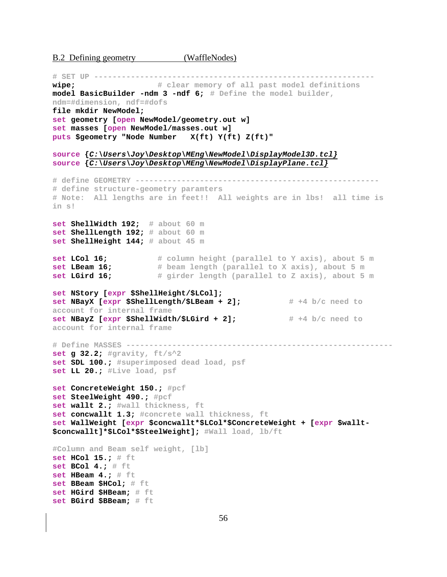B.2 Defining geometry (WaffleNodes)

**# SET UP ------------------------------------------------------------ wipe; # clear memory of all past model definitions model BasicBuilder -ndm 3 -ndf 6; # Define the model builder, ndm=#dimension, ndf=#dofs file mkdir NewModel; set geometry [open NewModel/geometry.out w] set masses [open NewModel/masses.out w] puts \$geometry "Node Number X(ft) Y(ft) Z(ft)" source {***C:\Users\Joy\Desktop\MEng\NewModel\DisplayModel3D.tcl}* **source {***C:\Users\Joy\Desktop\MEng\NewModel\DisplayPlane.tcl}* **# define GEOMETRY ----------------------------------------------------- # define structure-geometry paramters # Note: All lengths are in feet!! All weights are in lbs! all time is in s! set ShellWidth 192; # about 60 m set ShellLength 192; # about 60 m set ShellHeight 144; # about 45 m set LCol 16; # column height (parallel to Y axis), about 5 m set LBeam 16; # beam length (parallel to X axis), about 5 m set LGird 16; # girder length (parallel to Z axis), about 5 m set NStory [expr \$ShellHeight/\$LCol]; set NBayX [expr \$ShellLength/\$LBeam + 2];** # +4 b/c need to **account for internal frame set NBayZ [expr \$ShellWidth/\$LGird + 2];** # +4 b/c need to **account for internal frame # Define MASSES --------------------------------------------------------- set g 32.2; #gravity, ft/s^2 set SDL 100.; #superimposed dead load, psf set LL 20.; #Live load, psf set ConcreteWeight 150.; #pcf set SteelWeight 490.; #pcf set wallt 2.; #wall thickness, ft set concwallt 1.3; #concrete wall thickness, ft set WallWeight [expr \$concwallt\*\$LCol\*\$ConcreteWeight + [expr \$wallt- \$concwallt]\*\$LCol\*\$SteelWeight]; #Wall load, lb/ft #Column and Beam self weight, [lb] set HCol 15.; # ft set BCol 4.; # ft set HBeam 4.; # ft set BBeam \$HCol; # ft set HGird \$HBeam; # ft set BGird \$BBeam; # ft**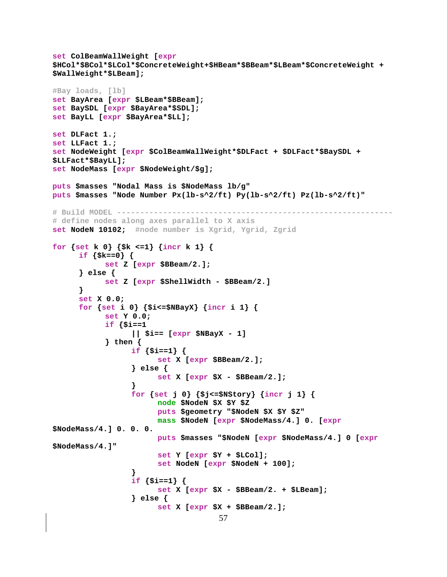```
set ColBeamWallWeight [expr
$HCol*$BCol*$LCol*$ConcreteWeight+$HBeam*$BBeam*$LBeam*$ConcreteWeight +
$WallWeight*$LBeam];
#Bay loads, [lb]
set BayArea [expr $LBeam*$BBeam];
set BaySDL [expr $BayArea*$SDL];
set BayLL [expr $BayArea*$LL];
set DLFact 1.;
set LLFact 1.;
set NodeWeight [expr $ColBeamWallWeight*$DLFact + $DLFact*$BaySDL +
$LLFact*$BayLL];
set NodeMass [expr $NodeWeight/$g];
puts $masses "Nodal Mass is $NodeMass lb/q"
puts $masses "Node Number Px(1b-s^2/ft) Py(1b-s^2/ft) Pz(1b-s^2/ft)"
# define nodes along axes parallel to X axis
set NodeN 10102; #node number is Xgrid, Ygrid, Zgrid
for {set k 0} {$k <= 1} {incr k 1} {
     if {s = 0} {
           set Z [expr $BBeam/2.];
     \} else \{set Z [expr $ShellWidth - $BBeam/2.]
     }
     set X 0.0;
     for {set i 0} {$i <= $NBay X} {incr i 1} {
           set Y 0.0;
           if \{\sin x = 1\}|| $i== [expr $NBayX - 1]
           \} then {
                 if {s_{i == 1}} {
                      set X [expr $BBeam/2.];
                 \} else \{set X [expr S X - $BBean/2.];
                 <sup>1</sup>
                 for {set j 0} {$j<=$NStory} {incr j 1} {
                      node $NodeN $X $Y $Z
                      puts $geometry "$NodeN $X $Y $Z"
                      mass $NodeN [expr $NodeMass/4.] 0. [expr
$NodeMass/4.] 0. 0. 0.
                      puts $masses "$NodeN [expr $NodeMass/4.] 0 [expr
$NodeMass/4.1"set Y [expr $Y + $LCol];
                      set NodeN [expr $NodeN + 100];
                 if {s_{i == 1}} {
                      set X [expr $X - $BBeam/2. + $LBeam];
                 \} else \{set X [expr $X + $BBeam/2.];
                                    57
```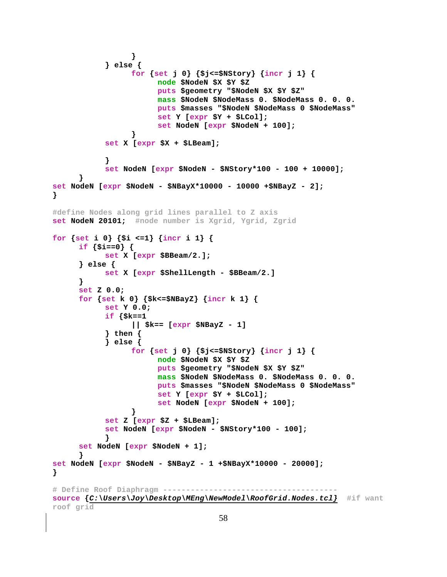```
}
            \} else \{for {set j 0} {$j <= $NStory} {incr j 1} {
                        node $NodeN $X $Y $Z
                        puts $geometry "$NodeN $X $Y $Z"
                        mass $NodeN $NodeMass 0. $NodeMass 0. 0. 0.
                        puts $masses "$NodeN $NodeMass 0 $NodeMass"
                        set Y [expr $Y + $LCol];
                        set NodeN [expr $NodeN + 100];
            set X [expr $X + $LBean];\mathcal{E}set NodeN [expr $NodeN - $NStory*100 - 100 + 10000];
      <sup>1</sup>
set NodeN [expr $NodeN - $NBayX*10000 - 10000 +$NBayZ - 2];
ł
#define Nodes along grid lines parallel to Z axis
set NodeN 20101; #node number is Xgrid, Ygrid, Zgrid
for {set i 0} {$i <=1} {incr i 1} {
      if {s_i == 0} {
            set X [expr $BBeam/2.];
      \} else \{set X [expr $ShellLength - $BBeam/2.]
      \mathcal{E}set Z = 0.0;for {set k 0} {$k<=$NBayZ} {incr k 1} {
            set Y 0.0;
            if \{\$k == 1\}||$k== [expr $NBayZ - 1]
            \} then \{\} else \{for {set j 0} {$j<=$NStory} {incr j 1} {
                        node $NodeN $X $Y $Z
                        puts $geometry "$NodeN $X $Y $Z"
                        mass $NodeN $NodeMass 0. $NodeMass 0. 0. 0.
                        puts $masses "$NodeN $NodeMass 0 $NodeMass"
                        set Y [expr $Y + $LCol];
                        set NodeN [expr $NodeN + 100];
            set Z [expr $Z + $LBeam];
            set NodeN [expr $NodeN - $NStory*100 - 100];
            ł
      set NodeN [expr $NodeN + 1];
      ₿
set NodeN [expr $NodeN - $NBayZ - 1 +$NBayX*10000 - 20000];
<sup>}</sup>
# Define Roof Diaphragm ----------------------------
source \{C:\U5\in\U5\} /Desktop\MEng\NewModel\RoofGrid.Nodes.tcl} #if want
roof grid
```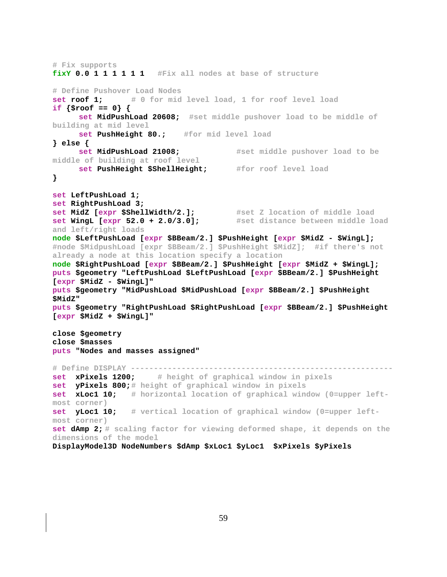```
# Fix supports 
fixY 0.0 1 1 1 1 1 1 #Fix all nodes at base of structure 
# Define Pushover Load Nodes 
set roof 1; # 0 for mid level load, 1 for roof level load
if {$roof == 0} { 
      set MidPushLoad 20608; #set middle pushover load to be middle of 
building at mid level
      set PushHeight 80.; #for mid level load
} else { 
      set MidPushLoad 21008; #set middle pushover load to be 
middle of building at roof level
      set PushHeight $ShellHeight; #for roof level load
} 
set LeftPushLoad 1; 
set RightPushLoad 3; 
set MidZ [expr $ShellWidth/2.]; #set Z location of middle load
set WingL [expr 52.0 + 2.0/3.0]; #set distance between middle load 
and left/right loads
node $LeftPushLoad [expr $BBeam/2.] $PushHeight [expr $MidZ - $WingL]; 
#node $MidpushLoad [expr $BBeam/2.] $PushHeight $MidZ]; #if there's not 
already a node at this location specify a location 
node $RightPushLoad [expr $BBeam/2.] $PushHeight [expr $MidZ + $WingL]; 
puts $geometry "LeftPushLoad $LeftPushLoad [expr $BBeam/2.] $PushHeight 
[expr $MidZ - $WingL]" 
puts $geometry "MidPushLoad $MidPushLoad [expr $BBeam/2.] $PushHeight 
$MidZ" 
puts $geometry "RightPushLoad $RightPushLoad [expr $BBeam/2.] $PushHeight 
[expr $MidZ + $WingL]" 
close $geometry 
close $masses 
puts "Nodes and masses assigned" 
# Define DISPLAY --------------------------------------------------------- 
set xPixels 1200; # height of graphical window in pixels
set yPixels 800;# height of graphical window in pixels
set xLoc1 10; # horizontal location of graphical window (0=upper left-
most corner)
set yLoc1 10; # vertical location of graphical window (0=upper left-
most corner)
set dAmp 2; # scaling factor for viewing deformed shape, it depends on the 
dimensions of the model
DisplayModel3D NodeNumbers $dAmp $xLoc1 $yLoc1 $xPixels $yPixels
```

```
59
```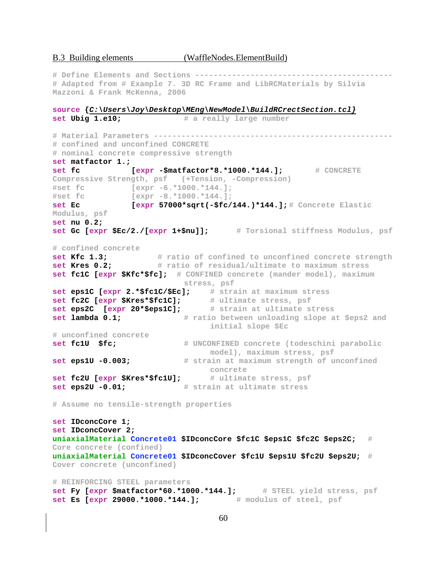**# Define Elements and Sections ------------------------------------------- # Adapted from # Example 7. 3D RC Frame and LibRCMaterials by Silvia Mazzoni & Frank McKenna, 2006 source {***C:\Users\Joy\Desktop\MEng\NewModel\BuildRCrectSection.tcl}* **set Ubig 1.e10; # a really large number # Material Parameters ---------------------------------------------------- # confined and unconfined CONCRETE # nominal concrete compressive strength set matfactor 1.; set fc dexpr -\$matfactor\*8.\*1000.\*144.];** # CONCRETE **Compressive Strength, psf (+Tension, -Compression) #set fc [expr -6.\*1000.\*144.]; #set fc [expr -8.\*1000.\*144.]; set Ec [expr 57000\*sqrt(-\$fc/144.)\*144.]; # Concrete Elastic Modulus, psf set nu 0.2; set Gc [expr \$Ec/2./[expr 1+\$nu]]; # Torsional stiffness Modulus, psf # confined concrete**  set Kfc 1.3; **# ratio of confined to unconfined concrete strength set Kres 0.2;**  $\frac{1}{4}$  ratio of residual/ultimate to maximum stress **set fc1C [expr \$Kfc\*\$fc]; # CONFINED concrete (mander model), maximum stress, psf set eps1C [expr 2.\*\$fc1C/\$Ec]; # strain at maximum stress set fc2C [expr \$Kres\*\$fc1C]; # ultimate stress, psf set eps2C [expr 20\*\$eps1C]; # strain at ultimate stress set lambda 0.1;**  $\#$  ratio between unloading slope at \$eps2 and **initial slope \$Ec # unconfined concrete set fc1U \$fc; # UNCONFINED concrete (todeschini parabolic model), maximum stress, psf set eps1U -0.003; # strain at maximum strength of unconfined concrete set fc2U [expr \$Kres\*\$fc1U]; # ultimate stress, psf set eps2U -0.01; # strain at ultimate stress # Assume no tensile-strength properties set IDconcCore 1; set IDconcCover 2; uniaxialMaterial Concrete01 \$IDconcCore \$fc1C \$eps1C \$fc2C \$eps2C; # Core concrete (confined) uniaxialMaterial Concrete01 \$IDconcCover \$fc1U \$eps1U \$fc2U \$eps2U; # Cover concrete (unconfined) # REINFORCING STEEL parameters**  set Fy [expr \$matfactor\*60.\*1000.\*144.]; # STEEL yield stress, psf **set Es [expr 29000.\*1000.\*144.]; # modulus of steel, psf**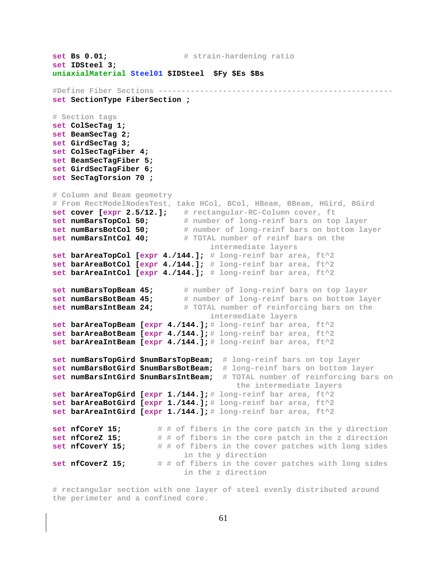```
set Bs 0.01; # strain-hardening ratio 
set IDSteel 3; 
uniaxialMaterial Steel01 $IDSteel $Fy $Es $Bs 
#Define Fiber Sections --------------------------------------------------- 
set SectionType FiberSection ; 
# Section tags 
set ColSecTag 1; 
set BeamSecTag 2; 
set GirdSecTag 3; 
set ColSecTagFiber 4; 
set BeamSecTagFiber 5; 
set GirdSecTagFiber 6; 
set SecTagTorsion 70 ; 
# Column and Beam geometry 
# From RectModelNodesTest, take HCol, BCol, HBeam, BBeam, HGird, BGird 
set cover [expr 2.5/12.]; # rectangular-RC-Column cover, ft
set numBarsTopCol 50; # number of long-reinf bars on top layer
set numBarsBotCol 50; # number of long-reinf bars on bottom layer
set numBarsIntCol 40; # TOTAL number of reinf bars on the 
                                 intermediate layers
set barAreaTopCol [expr 4./144.]; # long-reinf bar area, ft^2
set barAreaBotCol [expr 4./144.]; # long-reinf bar area, ft^2
set barAreaIntCol [expr 4./144.]; # long-reinf bar area, ft^2
set numBarsTopBeam 45; # number of long-reinf bars on top layer
set numBarsBotBeam 45; # number of long-reinf bars on bottom layer
set numBarsIntBeam 24; # TOTAL number of reinforcing bars on the 
                                 intermediate layers
set barAreaTopBeam [expr 4./144.]; # long-reinf bar area, ft^2
set barAreaBotBeam [expr 4./144.]; # long-reinf bar area, ft^2
set barAreaIntBeam [expr 4./144.]; # long-reinf bar area, ft^2
set numBarsTopGird $numBarsTopBeam; # long-reinf bars on top layer
set numBarsBotGird $numBarsBotBeam; # long-reinf bars on bottom layer
set numBarsIntGird $numBarsIntBeam; # TOTAL number of reinforcing bars on 
                                      the intermediate layers
set barAreaTopGird [expr 1./144.]; # long-reinf bar area, ft^2
set barAreaBotGird [expr 1./144.]; # long-reinf bar area, ft^2
set barAreaIntGird [expr 1./144.]; # long-reinf bar area, ft^2
set nfCoreY 15; # # of fibers in the core patch in the y direction 
set nfCoreZ 15; # # of fibers in the core patch in the z direction
set nfCoverY 15; # # of fibers in the cover patches with long sides 
                           in the y direction
set nfCoverZ 15; # # of fibers in the cover patches with long sides 
                           in the z direction
```
**# rectangular section with one layer of steel evenly distributed around the perimeter and a confined core.**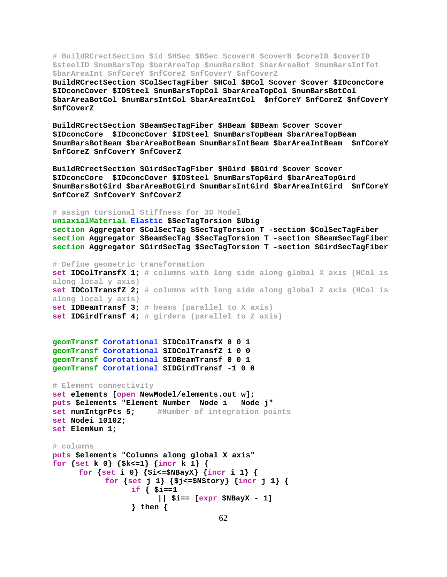**# BuildRCrectSection \$id \$HSec \$BSec \$coverH \$coverB \$coreID \$coverID \$steelID \$numBarsTop \$barAreaTop \$numBarsBot \$barAreaBot \$numBarsIntTot \$barAreaInt \$nfCoreY \$nfCoreZ \$nfCoverY \$nfCoverZ** 

**BuildRCrectSection \$ColSecTagFiber \$HCol \$BCol \$cover \$cover \$IDconcCore \$IDconcCover \$IDSteel \$numBarsTopCol \$barAreaTopCol \$numBarsBotCol \$barAreaBotCol \$numBarsIntCol \$barAreaIntCol \$nfCoreY \$nfCoreZ \$nfCoverY \$nfCoverZ** 

**BuildRCrectSection \$BeamSecTagFiber \$HBeam \$BBeam \$cover \$cover \$IDconcCore \$IDconcCover \$IDSteel \$numBarsTopBeam \$barAreaTopBeam \$numBarsBotBeam \$barAreaBotBeam \$numBarsIntBeam \$barAreaIntBeam \$nfCoreY \$nfCoreZ \$nfCoverY \$nfCoverZ** 

**BuildRCrectSection \$GirdSecTagFiber \$HGird \$BGird \$cover \$cover \$IDconcCore \$IDconcCover \$IDSteel \$numBarsTopGird \$barAreaTopGird \$numBarsBotGird \$barAreaBotGird \$numBarsIntGird \$barAreaIntGird \$nfCoreY \$nfCoreZ \$nfCoverY \$nfCoverZ** 

**# assign torsional Stiffness for 3D Model uniaxialMaterial Elastic \$SecTagTorsion \$Ubig section Aggregator \$ColSecTag \$SecTagTorsion T -section \$ColSecTagFiber section Aggregator \$BeamSecTag \$SecTagTorsion T -section \$BeamSecTagFiber section Aggregator \$GirdSecTag \$SecTagTorsion T -section \$GirdSecTagFiber # Define geometric transformation set IDColTransfX 1; # columns with long side along global X axis (HCol is along local y axis) set IDColTransfZ 2; # columns with long side along global Z axis (HCol is along local y axis) set IDBeamTransf 3; # beams (parallel to X axis) set IDGirdTransf 4; # girders (parallel to Z axis) geomTransf Corotational \$IDColTransfX 0 0 1 geomTransf Corotational \$IDColTransfZ 1 0 0 geomTransf Corotational \$IDBeamTransf 0 0 1 geomTransf Corotational \$IDGirdTransf -1 0 0 # Element connectivity set elements [open NewModel/elements.out w]; puts \$elements "Element Number Node i Node j" set numIntgrPts 5; #Number of integration points set Nodei 10102; set ElemNum 1;** 

```
# columns 
puts $elements "Columns along global X axis" 
for {set k 0} {$k<=1} {incr k 1} { 
       for {set i 0} {$i<=$NBayX} {incr i 1} { 
             for {set j 1} {$j<=$NStory} {incr j 1} { 
                   if { $i==1 
                         || $i== [expr $NBayX - 1] 
                   } then {
```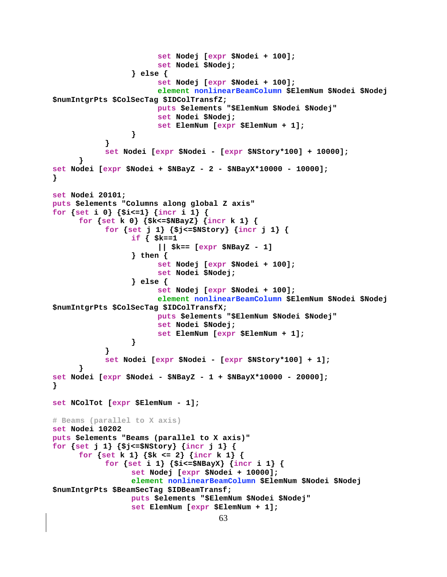```
63
                        set Nodej [expr $Nodei + 100]; 
                        set Nodei $Nodej; 
                  } else { 
                        set Nodej [expr $Nodei + 100]; 
                        element nonlinearBeamColumn $ElemNum $Nodei $Nodej 
$numIntgrPts $ColSecTag $IDColTransfZ; 
                        puts $elements "$ElemNum $Nodei $Nodej" 
                        set Nodei $Nodej; 
                        set ElemNum [expr $ElemNum + 1]; 
 } 
 } 
            set Nodei [expr $Nodei - [expr $NStory*100] + 10000]; 
       } 
set Nodei [expr $Nodei + $NBayZ - 2 - $NBayX*10000 - 10000]; 
} 
set Nodei 20101; 
puts $elements "Columns along global Z axis" 
for {set i 0} {$i<=1} {incr i 1} { 
       for {set k 0} {$k<=$NBayZ} {incr k 1} { 
            for {set j 1} {$j<=$NStory} {incr j 1} { 
                  if { $k==1 
                        || $k== [expr $NBayZ - 1] 
                  } then { 
                        set Nodej [expr $Nodei + 100]; 
                        set Nodei $Nodej; 
                  } else { 
                        set Nodej [expr $Nodei + 100]; 
                        element nonlinearBeamColumn $ElemNum $Nodei $Nodej 
$numIntgrPts $ColSecTag $IDColTransfX; 
                        puts $elements "$ElemNum $Nodei $Nodej" 
                        set Nodei $Nodej; 
                        set ElemNum [expr $ElemNum + 1]; 
 } 
 } 
            set Nodei [expr $Nodei - [expr $NStory*100] + 1]; 
 } 
set Nodei [expr $Nodei - $NBayZ - 1 + $NBayX*10000 - 20000]; 
} 
set NColTot [expr $ElemNum - 1]; 
# Beams (parallel to X axis) 
set Nodei 10202 
puts $elements "Beams (parallel to X axis)" 
for {set j 1} {$j<=$NStory} {incr j 1} { 
      for {set k 1} {$k <= 2} {incr k 1} { 
            for {set i 1} {$i<=$NBayX} {incr i 1} { 
                  set Nodej [expr $Nodei + 10000]; 
                  element nonlinearBeamColumn $ElemNum $Nodei $Nodej 
$numIntgrPts $BeamSecTag $IDBeamTransf; 
                  puts $elements "$ElemNum $Nodei $Nodej" 
                  set ElemNum [expr $ElemNum + 1];
```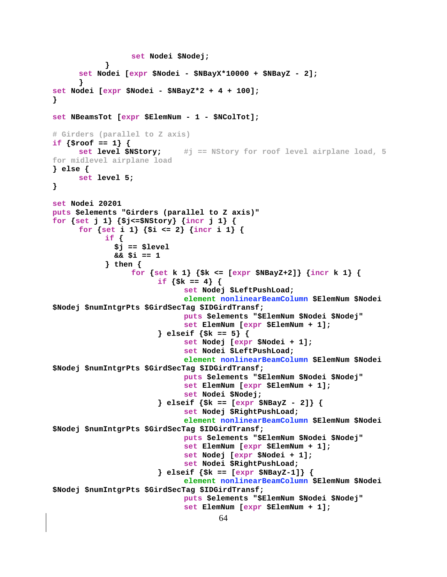```
set Nodei $Nodej;
     set Nodei [expr $Nodei - $NBayX*10000 + $NBayZ - 2];
      ļ
set Nodei [expr $Nodei - $NBayZ*2 + 4 + 100];
<sup>}</sup>
set NBeamsTot [expr $ElemNum - 1 - $NColTot];
# Girders (parallel to Z axis)
if {sroot == 1} {
     set level $NStory;
                            #j == NStory for roof level airplane load, 5
for midlevel airplane load
\} else \{set level 5;
}
set Nodei 20201
puts $elements "Girders (parallel to Z axis)"
for {set j 1} {$j<=$NStory} {incr j 1} {
     for {set i 1} {$i <= 2} {incr i 1} {
            if {
              $j == $level&&&\sin == 1\} then {
                 for {set k 1} {$k <= [expr $NBayZ+2]} {incr k 1} {
                       if \{ $k == 4$ \}set Nodej $LeftPushLoad;
                             element nonlinearBeamColumn $ElemNum $Nodei
$Nodej $numIntgrPts $GirdSecTag $IDGirdTransf;
                             puts $elements "$ElemNum $Nodei $Nodej"
                             set ElemNum [expr $ElemNum + 1];
                       } elseif \{ $k == 5\} {
                             set Nodej [expr $Nodei + 1];
                             set Nodei $LeftPushLoad;
                             element nonlinearBeamColumn $ElemNum $Nodei
$Nodej $numIntgrPts $GirdSecTag $IDGirdTransf;
                             puts $elements "$ElemNum $Nodei $Nodej"
                             set ElemNum [expr $ElemNum + 1];
                             set Nodei $Nodej;
                       } elseif {s = [expr \$NBayZ - 2]} {
                             set Nodej $RightPushLoad;
                             element nonlinearBeamColumn $ElemNum $Nodei
$Nodej $numIntgrPts $GirdSecTag $IDGirdTransf;
                             puts $elements "$ElemNum $Nodei $Nodej"
                             set ElemNum [expr $ElemNum + 1];
                             set Nodej [expr $Nodei + 1];
                             set Nodei $RightPushLoad;
                       } elseif \{ $k = 0 \text{ expr } $NBayZ-1] \} {
                             element nonlinearBeamColumn $ElemNum $Nodei
$Nodej $numIntgrPts $GirdSecTag $IDGirdTransf;
                             puts $elements "$ElemNum $Nodei $Nodej"
                             set ElemNum [expr $ElemNum + 1];
                                     64
```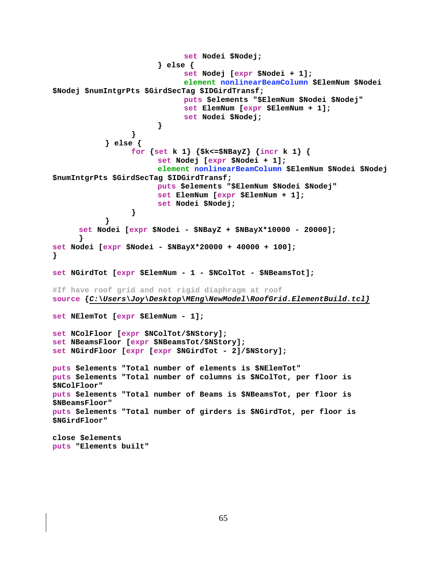```
 set Nodei $Nodej; 
                       } else { 
                             set Nodej [expr $Nodei + 1]; 
                             element nonlinearBeamColumn $ElemNum $Nodei 
$Nodej $numIntgrPts $GirdSecTag $IDGirdTransf; 
                             puts $elements "$ElemNum $Nodei $Nodej" 
                             set ElemNum [expr $ElemNum + 1]; 
                       set Nodei $Nodej; 
 } 
 } 
            } else { 
                  for {set k 1} {$k<=$NBayZ} {incr k 1} { 
                       set Nodej [expr $Nodei + 1]; 
                       element nonlinearBeamColumn $ElemNum $Nodei $Nodej 
$numIntgrPts $GirdSecTag $IDGirdTransf; 
                       puts $elements "$ElemNum $Nodei $Nodej" 
                       set ElemNum [expr $ElemNum + 1]; 
                       set Nodei $Nodej; 
 } 
 } 
      set Nodei [expr $Nodei - $NBayZ + $NBayX*10000 - 20000]; 
 } 
set Nodei [expr $Nodei - $NBayX*20000 + 40000 + 100]; 
} 
set NGirdTot [expr $ElemNum - 1 - $NColTot - $NBeamsTot]; 
#If have roof grid and not rigid diaphragm at roof 
source {C:\Users\Joy\Desktop\MEng\NewModel\RoofGrid.ElementBuild.tcl}
set NElemTot [expr $ElemNum - 1]; 
set NColFloor [expr $NColTot/$NStory]; 
set NBeamsFloor [expr $NBeamsTot/$NStory]; 
set NGirdFloor [expr [expr $NGirdTot - 2]/$NStory]; 
puts $elements "Total number of elements is $NElemTot" 
puts $elements "Total number of columns is $NColTot, per floor is 
$NColFloor" 
puts $elements "Total number of Beams is $NBeamsTot, per floor is 
$NBeamsFloor" 
puts $elements "Total number of girders is $NGirdTot, per floor is 
$NGirdFloor" 
close $elements 
puts "Elements built"
```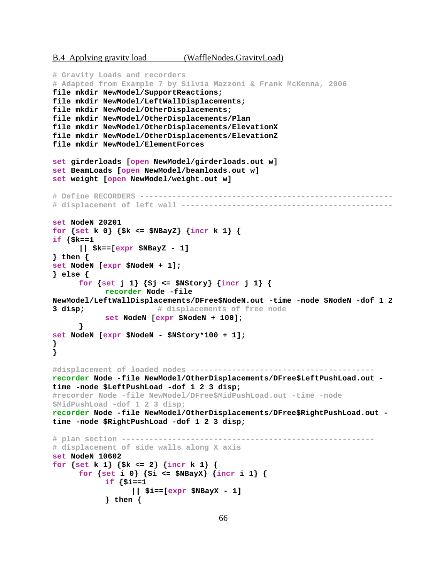B.4 Applying gravity load (WaffleNodes.GravityLoad)

```
# Gravity Loads and recorders 
# Adapted from Example 7 by Silvia Mazzoni & Frank McKenna, 2006 
file mkdir NewModel/SupportReactions; 
file mkdir NewModel/LeftWallDisplacements; 
file mkdir NewModel/OtherDisplacements; 
file mkdir NewModel/OtherDisplacements/Plan 
file mkdir NewModel/OtherDisplacements/ElevationX 
file mkdir NewModel/OtherDisplacements/ElevationZ 
file mkdir NewModel/ElementForces 
set girderloads [open NewModel/girderloads.out w] 
set BeamLoads [open NewModel/beamloads.out w] 
set weight [open NewModel/weight.out w] 
# Define RECORDERS ------------------------------------------------------- 
# displacement of left wall ---------------------------------------------- 
set NodeN 20201 
for {set k 0} {$k <= $NBayZ} {incr k 1} { 
if {$k==1 
       || $k==[expr $NBayZ - 1] 
} then { 
set NodeN [expr $NodeN + 1]; 
} else { 
      for {set j 1} {$j <= $NStory} {incr j 1} { 
            recorder Node -file 
NewModel/LeftWallDisplacements/DFree$NodeN.out -time -node $NodeN -dof 1 2 
3 disp; # displacements of free node
            set NodeN [expr $NodeN + 100]; 
       } 
set NodeN [expr $NodeN - $NStory*100 + 1]; 
} 
} 
#displacement of loaded nodes ---------------------------------------- 
recorder Node -file NewModel/OtherDisplacements/DFree$LeftPushLoad.out -
time -node $LeftPushLoad -dof 1 2 3 disp; 
#recorder Node -file NewModel/DFree$MidPushLoad.out -time -node 
$MidPushLoad -dof 1 2 3 disp; 
recorder Node -file NewModel/OtherDisplacements/DFree$RightPushLoad.out -
time -node $RightPushLoad -dof 1 2 3 disp; 
# plan section ------------------------------------------------------- 
# displacement of side walls along X axis 
set NodeN 10602 
for {set k 1} {$k <= 2} {incr k 1} { 
       for {set i 0} {$i <= $NBayX} {incr i 1} { 
             if {$i==1 
                   || $i==[expr $NBayX - 1] 
             } then {
```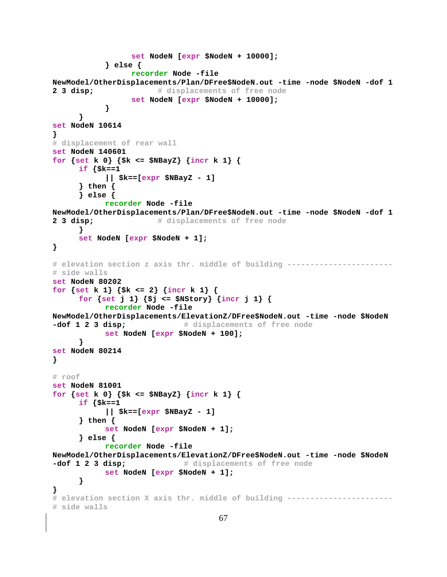```
 set NodeN [expr $NodeN + 10000]; 
             } else { 
                  recorder Node -file 
NewModel/OtherDisplacements/Plan/DFree$NodeN.out -time -node $NodeN -dof 1 
2 3 disp; # displacements of free node
                   set NodeN [expr $NodeN + 10000]; 
 } 
       } 
set NodeN 10614 
} 
# displacement of rear wall 
set NodeN 140601 
for {set k 0} {$k <= $NBayZ} {incr k 1} { 
       if {$k==1 
             || $k==[expr $NBayZ - 1] 
       } then { 
       } else { 
            recorder Node -file 
NewModel/OtherDisplacements/Plan/DFree$NodeN.out -time -node $NodeN -dof 1 
2 3 disp; \# displacements of free node
       } 
       set NodeN [expr $NodeN + 1]; 
} 
# elevation section z axis thr. middle of building -----------------------
# side walls 
set NodeN 80202 
for {set k 1} {$k <= 2} {incr k 1} { 
       for {set j 1} {$j <= $NStory} {incr j 1} { 
             recorder Node -file 
NewModel/OtherDisplacements/ElevationZ/DFree$NodeN.out -time -node $NodeN 
-dof 1 2 3 disp; \qquad # displacements of free node
             set NodeN [expr $NodeN + 100]; 
       } 
set NodeN 80214 
} 
# roof 
set NodeN 81001 
for {set k 0} {$k <= $NBayZ} {incr k 1} { 
       if {$k==1 
             || $k==[expr $NBayZ - 1] 
       } then { 
            set NodeN [expr $NodeN + 1]; 
       } else { 
            recorder Node -file 
NewModel/OtherDisplacements/ElevationZ/DFree$NodeN.out -time -node $NodeN 
-dof 1 2 3 disp; \qquad # displacements of free node
            set NodeN [expr $NodeN + 1]; 
       } 
} 
# elevation section X axis thr. middle of building ----------------------- 
# side walls
```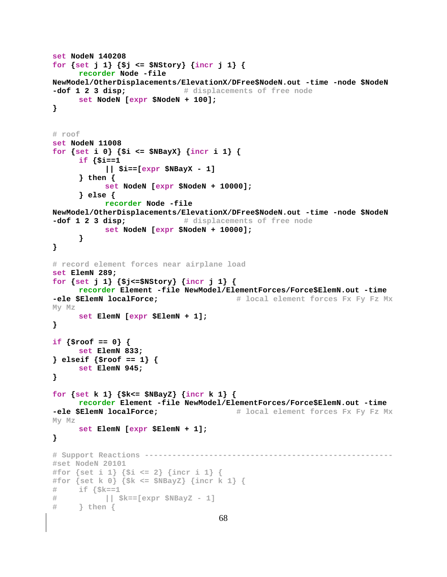```
set NodeN 140208 
for {set j 1} {$j <= $NStory} {incr j 1} { 
      recorder Node -file 
NewModel/OtherDisplacements/ElevationX/DFree$NodeN.out -time -node $NodeN 
-dof 1 2 3 disp; # displacements of free node
      set NodeN [expr $NodeN + 100]; 
} 
# roof 
set NodeN 11008 
for {set i 0} {$i <= $NBayX} {incr i 1} { 
      if {$i==1 
            || $i==[expr $NBayX - 1] 
      } then { 
            set NodeN [expr $NodeN + 10000]; 
      } else { 
            recorder Node -file 
NewModel/OtherDisplacements/ElevationX/DFree$NodeN.out -time -node $NodeN 
-dof 1 2 3 disp; \qquad # displacements of free node
            set NodeN [expr $NodeN + 10000]; 
      } 
} 
# record element forces near airplane load 
set ElemN 289; 
for {set j 1} {$j<=$NStory} {incr j 1} { 
      recorder Element -file NewModel/ElementForces/Force$ElemN.out -time 
-ele $ElemN localForce; # local element forces Fx Fy Fz Mx
My Mz
      set ElemN [expr $ElemN + 1]; 
} 
if {$roof == 0} { 
      set ElemN 833; 
} elseif {$roof == 1} { 
      set ElemN 945; 
} 
for {set k 1} {$k<= $NBayZ} {incr k 1} { 
      recorder Element -file NewModel/ElementForces/Force$ElemN.out -time 
-ele $ElemN localForce; # local element forces Fx Fy Fz Mx
My Mz
      set ElemN [expr $ElemN + 1]; 
} 
# Support Reactions ------------------------------------------------------ 
#set NodeN 20101 
#for {set i 1} {$i <= 2} {incr i 1} { 
#for {set k 0} {$k <= $NBayZ} {incr k 1} { 
# if {$k==1 
# || $k==[expr $NBayZ - 1] 
     # } then {
```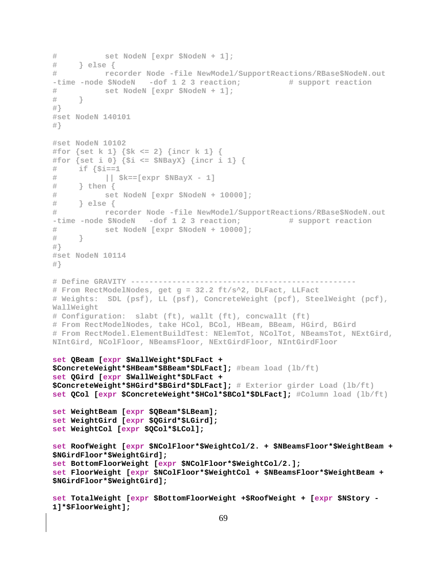```
# set NodeN [expr $NodeN + 1]; 
# } else { 
# recorder Node -file NewModel/SupportReactions/RBase$NodeN.out 
-time -node $NodeN -dof 1 2 3 reaction; # support reaction
# set NodeN [expr $NodeN + 1]; 
# } 
#} 
#set NodeN 140101 
#} 
#set NodeN 10102 
#for {set k 1} {$k <= 2} {incr k 1} {
#for {set i 0} {$i <= $NBayX} {incr i 1} { 
# if {$i==1 
# || $k==[expr $NBayX - 1] 
# } then { 
# set NodeN [expr $NodeN + 10000]; 
# } else { 
# recorder Node -file NewModel/SupportReactions/RBase$NodeN.out 
-time -node $NodeN -dof 1 2 3 reaction; # support reaction
# set NodeN [expr $NodeN + 10000]; 
# } 
#} 
#set NodeN 10114 
#} 
# Define GRAVITY ------------------------------------------------- 
# From RectModelNodes, get g = 32.2 ft/s^2, DLFact, LLFact 
# Weights: SDL (psf), LL (psf), ConcreteWeight (pcf), SteelWeight (pcf), 
WallWeight 
# Configuration: slabt (ft), wallt (ft), concwallt (ft) 
# From RectModelNodes, take HCol, BCol, HBeam, BBeam, HGird, BGird 
# From RectModel.ElementBuildTest: NElemTot, NColTot, NBeamsTot, NExtGird, 
NIntGird, NColFloor, NBeamsFloor, NExtGirdFloor, NIntGirdFloor 
set QBeam [expr $WallWeight*$DLFact + 
$ConcreteWeight*$HBeam*$BBeam*$DLFact]; #beam load (lb/ft)
set QGird [expr $WallWeight*$DLFact + 
$ConcreteWeight*$HGird*$BGird*$DLFact]; # Exterior girder Load (lb/ft)
set QCol [expr $ConcreteWeight*$HCol*$BCol*$DLFact]; #Column load (lb/ft)
set WeightBeam [expr $QBeam*$LBeam]; 
set WeightGird [expr $QGird*$LGird]; 
set WeightCol [expr $QCol*$LCol]; 
set RoofWeight [expr $NColFloor*$WeightCol/2. + $NBeamsFloor*$WeightBeam + 
$NGirdFloor*$WeightGird]; 
set BottomFloorWeight [expr $NColFloor*$WeightCol/2.]; 
set FloorWeight [expr $NColFloor*$WeightCol + $NBeamsFloor*$WeightBeam + 
$NGirdFloor*$WeightGird]; 
set TotalWeight [expr $BottomFloorWeight +$RoofWeight + [expr $NStory - 
1]*$FloorWeight];
```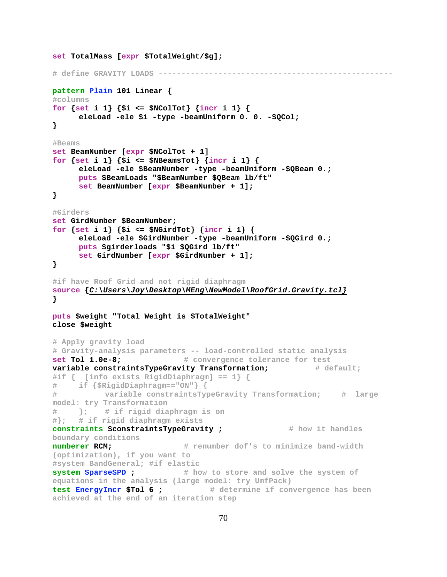```
set TotalMass [expr $TotalWeight/$g]; 
# define GRAVITY LOADS --------------------------------------------------- 
pattern Plain 101 Linear { 
#columns 
for {set i 1} {$i <= $NColTot} {incr i 1} { 
      eleLoad -ele $i -type -beamUniform 0. 0. -$QCol; 
} 
#Beams 
set BeamNumber [expr $NColTot + 1] 
for {set i 1} {$i <= $NBeamsTot} {incr i 1} { 
      eleLoad -ele $BeamNumber -type -beamUniform -$QBeam 0.; 
      puts $BeamLoads "$BeamNumber $QBeam lb/ft" 
      set BeamNumber [expr $BeamNumber + 1]; 
} 
#Girders 
set GirdNumber $BeamNumber; 
for \{set i 1\} \{si \gets \$NGirdTot\} \{incr i 1\} {
      eleLoad -ele $GirdNumber -type -beamUniform -$QGird 0.; 
      puts $girderloads "$i $QGird lb/ft" 
      set GirdNumber [expr $GirdNumber + 1]; 
} 
#if have Roof Grid and not rigid diaphragm 
source {C:\Users\Joy\Desktop\MEng\NewModel\RoofGrid.Gravity.tcl}
} 
puts $weight "Total Weight is $TotalWeight" 
close $weight 
# Apply gravity load 
# Gravity-analysis parameters -- load-controlled static analysis 
set Tol 1.0e-8; # convergence tolerance for test
variable constraintsTypeGravity Transformation; # default;
#if { [info exists RigidDiaphragm] == 1} { 
# if {$RigidDiaphragm=="ON"} { 
# variable constraintsTypeGravity Transformation; # large 
model: try Transformation 
# }; # if rigid diaphragm is on 
#}; # if rigid diaphragm exists 
constraints $constraintsTypeGravity ; \qquad # how it handles
boundary conditions
numberer RCM; # renumber dof's to minimize band-width 
(optimization), if you want to
#system BandGeneral; #if elastic 
system SparseSPD ; # how to store and solve the system of 
equations in the analysis (large model: try UmfPack)
test EnergyIncr $Tol 6 ; # determine if convergence has been 
achieved at the end of an iteration step
```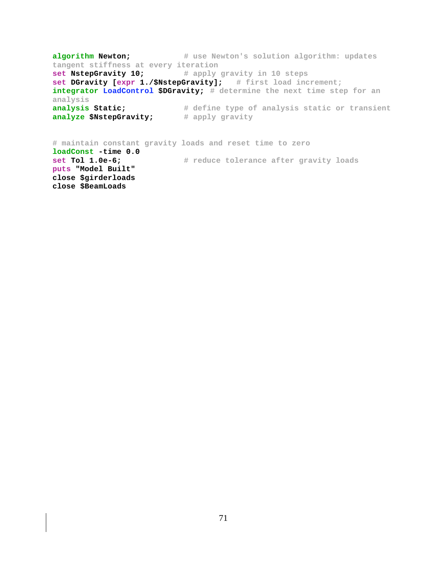**algorithm Newton;** # use Newton's solution algorithm: updates **tangent stiffness at every iteration**<br>**set NstepGravity 10;** # apply **set NstepGravity 10; # apply gravity in 10 steps set DGravity [expr 1./\$NstepGravity]; # first load increment; integrator LoadControl \$DGravity; # determine the next time step for an analysis analysis Static; # define type of analysis static or transient analyze \$NstepGravity;** # apply gravity **# maintain constant gravity loads and reset time to zero loadConst -time 0.0** 

**set Tol 1.0e-6; # reduce tolerance after gravity loads puts "Model Built" close \$girderloads close \$BeamLoads**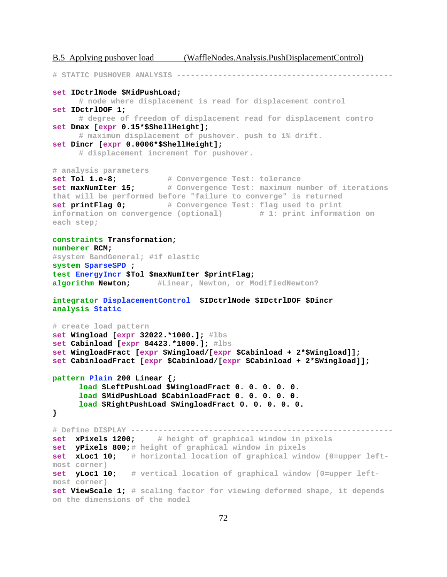B.5 Applying pushover load (WaffleNodes.Analysis.PushDisplacementControl) **# STATIC PUSHOVER ANALYSIS ---------------------------------------------- set IDctrlNode \$MidPushLoad; # node where displacement is read for displacement control set IDctrlDOF 1; # degree of freedom of displacement read for displacement contro set Dmax [expr 0.15\*\$ShellHeight]; # maximum displacement of pushover. push to 1% drift. set Dincr [expr 0.0006\*\$ShellHeight]; # displacement increment for pushover. # analysis parameters set Tol 1.e-8; # Convergence Test: tolerance set maxNumIter 15; # Convergence Test: maximum number of iterations that will be performed before "failure to converge" is returned set printFlag 0; # Convergence Test: flag used to print information on convergence (optional) # 1: print information on each step; constraints Transformation; numberer RCM; #system BandGeneral; #if elastic system SparseSPD ; test EnergyIncr \$Tol \$maxNumIter \$printFlag; algorithm Newton; #Linear, Newton, or ModifiedNewton? integrator DisplacementControl \$IDctrlNode \$IDctrlDOF \$Dincr analysis Static # create load pattern set Wingload [expr 32022.\*1000.]; #lbs set Cabinload [expr 84423.\*1000.]; #lbs set WingloadFract [expr \$Wingload/[expr \$Cabinload + 2\*\$Wingload]]; set CabinloadFract [expr \$Cabinload/[expr \$Cabinload + 2\*\$Wingload]]; pattern Plain 200 Linear {; load \$LeftPushLoad \$WingloadFract 0. 0. 0. 0. 0. load \$MidPushLoad \$CabinloadFract 0. 0. 0. 0. 0. load \$RightPushLoad \$WingloadFract 0. 0. 0. 0. 0. } # Define DISPLAY -------------------------------------------------------- set xPixels 1200; # height of graphical window in pixels set yPixels 800;# height of graphical window in pixels set xLoc1 10; # horizontal location of graphical window (0=upper leftmost corner) set yLoc1 10; # vertical location of graphical window (0=upper leftmost corner) set ViewScale 1; # scaling factor for viewing deformed shape, it depends** 

```
on the dimensions of the model
```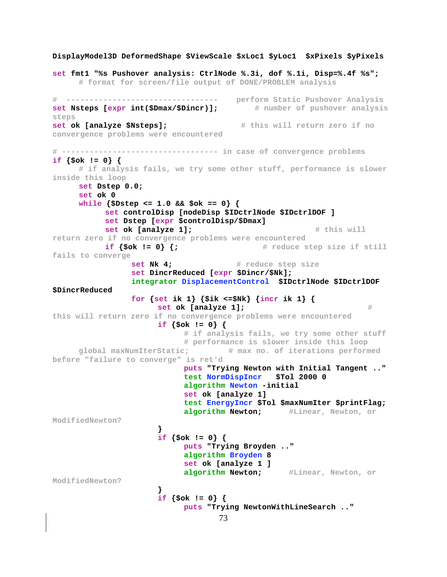```
73
DisplayModel3D DeformedShape $ViewScale $xLoc1 $yLoc1 $xPixels $yPixels 
set fmt1 "%s Pushover analysis: CtrlNode %.3i, dof %.1i, Disp=%.4f %s";
       # format for screen/file output of DONE/PROBLEM analysis 
# --------------------------------- perform Static Pushover Analysis 
set Nsteps [expr int($Dmax/$Dincr)]; # number of pushover analysis
steps
set ok [analyze $Nsteps]; # this will return zero if no 
convergence problems were encountered
# ---------------------------------- in case of convergence problems 
if {$ok != 0} { 
       # if analysis fails, we try some other stuff, performance is slower 
inside this loop 
      set Dstep 0.0; 
       set ok 0 
       while {$Dstep <= 1.0 && $ok == 0} { 
             set controlDisp [nodeDisp $IDctrlNode $IDctrlDOF ] 
             set Dstep [expr $controlDisp/$Dmax] 
            set ok [analyze 1]; The contract in the set of the set of [analyze 1]; The set of the set of the set of the set of the set of the set of the set of the set of the set of the set of the set of the set of the set of the set
return zero if no convergence problems were encountered
           if \{5 \text{ok } ! = 0\} \{j \} # reduce step size if still
fails to converge
                  set Nk 4; # reduce step size
                   set DincrReduced [expr $Dincr/$Nk]; 
                   integrator DisplacementControl $IDctrlNode $IDctrlDOF 
$DincrReduced 
                  for {set ik 1} {\frac{1}{2} {\frac{1}{2}} { \frac{1}{2} { \frac{1}{2} {
                        set ok [analyze 1]; # \#this will return zero if no convergence problems were encountered
                         if {$ok != 0} { 
                               # if analysis fails, we try some other stuff 
                               # performance is slower inside this loop
       global maxNumIterStatic; # max no. of iterations performed 
before "failure to converge" is ret'd 
                               puts "Trying Newton with Initial Tangent .." 
                               test NormDispIncr $Tol 2000 0 
                               algorithm Newton -initial 
                               set ok [analyze 1] 
                               test EnergyIncr $Tol $maxNumIter $printFlag; 
                               algorithm Newton; #Linear, Newton, or 
ModifiedNewton?
 } 
                         if {$ok != 0} { 
                               puts "Trying Broyden .." 
                               algorithm Broyden 8 
                               set ok [analyze 1 ] 
                               algorithm Newton; #Linear, Newton, or 
ModifiedNewton?
 } 
                         if {$ok != 0} { 
                               puts "Trying NewtonWithLineSearch .."
```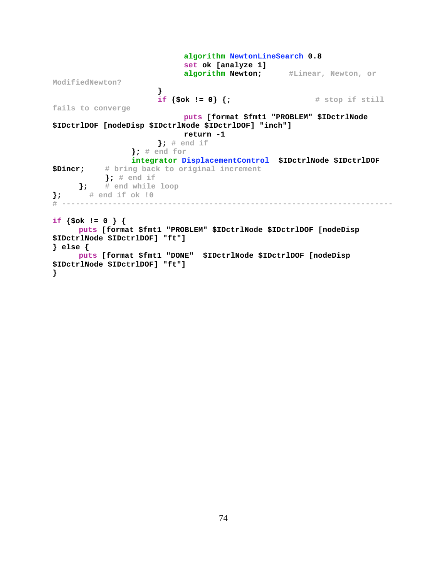**algorithm NewtonLineSearch 0.8 set ok [analyze 1] algorithm Newton; #Linear, Newton, or ModifiedNewton? } if** {\$ok != 0} {; # stop if still **fails to converge puts [format \$fmt1 "PROBLEM" \$IDctrlNode \$IDctrlDOF [nodeDisp \$IDctrlNode \$IDctrlDOF] "inch"] return -1 }; # end if }; # end for integrator DisplacementControl \$IDctrlNode \$IDctrlDOF \$Dincr; # bring back to original increment }; # end if }; # end while loop }; # end if ok !0 # ----------------------------------------------------------------------- if {\$ok != 0 } { puts [format \$fmt1 "PROBLEM" \$IDctrlNode \$IDctrlDOF [nodeDisp \$IDctrlNode \$IDctrlDOF] "ft"] } else { puts [format \$fmt1 "DONE" \$IDctrlNode \$IDctrlDOF [nodeDisp \$IDctrlNode \$IDctrlDOF] "ft"] }**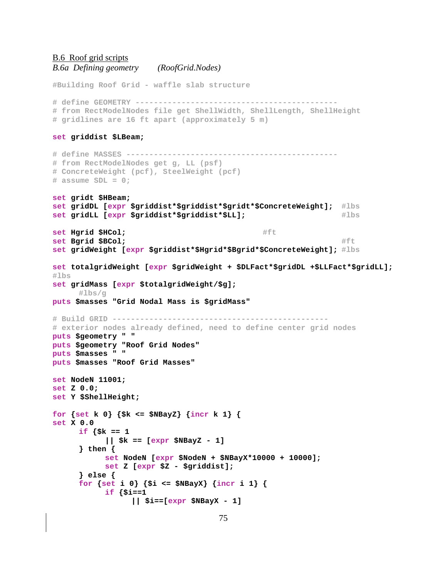```
B.6 Roof grid scripts
B.6a Defining geometry (RoofGrid.Nodes)
```
**#Building Roof Grid - waffle slab structure # define GEOMETRY -------------------------------------------- # from RectModelNodes file get ShellWidth, ShellLength, ShellHeight # gridlines are 16 ft apart (approximately 5 m) set griddist \$LBeam; # define MASSES ---------------------------------------------- # from RectModelNodes get g, LL (psf) # ConcreteWeight (pcf), SteelWeight (pcf) # assume SDL = 0; set gridt \$HBeam; set gridDL [expr \$griddist\*\$griddist\*\$gridt\*\$ConcreteWeight]; #lbs set gridLL [expr \$griddist\*\$griddist\*\$LL]; #lbs set Hgrid \$HCol; and \$HCol set Bgrid \$BCol;**  $#$ ft **set gridWeight [expr \$griddist\*\$Hgrid\*\$Bgrid\*\$ConcreteWeight]; #lbs set totalgridWeight [expr \$gridWeight + \$DLFact\*\$gridDL +\$LLFact\*\$gridLL]; #lbs set gridMass [expr \$totalgridWeight/\$g]; #lbs/g puts \$masses "Grid Nodal Mass is \$gridMass" # Build GRID ----------------------------------------------- # exterior nodes already defined, need to define center grid nodes puts \$geometry " " puts \$geometry "Roof Grid Nodes" puts \$masses " " puts \$masses "Roof Grid Masses" set NodeN 11001; set Z 0.0; set Y \$ShellHeight; for {set k 0} {\$k <= \$NBayZ} {incr k 1} { set X 0.0 if {\$k == 1 || \$k == [expr \$NBayZ - 1] } then { set NodeN [expr \$NodeN + \$NBayX\*10000 + 10000]; set Z [expr \$Z - \$griddist]; } else { for {set i 0} {\$i <= \$NBayX} {incr i 1} { if {\$i==1 || \$i==[expr \$NBayX - 1]**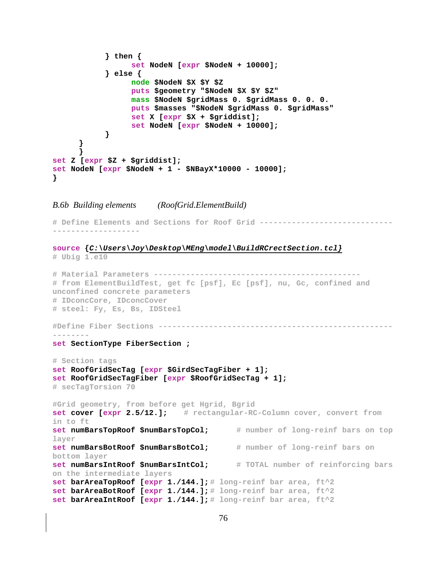```
 } then { 
                  set NodeN [expr $NodeN + 10000]; 
             } else { 
                  node $NodeN $X $Y $Z 
                  puts $geometry "$NodeN $X $Y $Z" 
                   mass $NodeN $gridMass 0. $gridMass 0. 0. 0. 
                   puts $masses "$NodeN $gridMass 0. $gridMass" 
                   set X [expr $X + $griddist]; 
                   set NodeN [expr $NodeN + 10000]; 
 } 
       } 
 } 
set Z [expr $Z + $griddist]; 
set NodeN [expr $NodeN + 1 - $NBayX*10000 - 10000]; 
}
```
*B.6b Building elements (RoofGrid.ElementBuild)* 

**# Define Elements and Sections for Roof Grid ----------------------------- -------------------** 

**source {***C:\Users\Joy\Desktop\MEng\model\BuildRCrectSection.tcl}*

```
# Ubig 1.e10 
# Material Parameters --------------------------------------------- 
# from ElementBuildTest, get fc [psf], Ec [psf], nu, Gc, confined and 
unconfined concrete parameters 
# IDconcCore, IDconcCover 
# steel: Fy, Es, Bs, IDSteel 
#Define Fiber Sections ---------------------------------------------------
-------- 
set SectionType FiberSection ; 
# Section tags 
set RoofGridSecTag [expr $GirdSecTagFiber + 1]; 
set RoofGridSecTagFiber [expr $RoofGridSecTag + 1]; 
# secTagTorsion 70 
#Grid geometry, from before get Hgrid, Bgrid 
set cover [expr 2.5/12.]; # rectangular-RC-Column cover, convert from 
in to ft
set numBarsTopRoof $numBarsTopCol; # number of long-reinf bars on top 
layer
set numBarsBotRoof $numBarsBotCol; # number of long-reinf bars on 
bottom layer
set numBarsIntRoof $numBarsIntCol; # TOTAL number of reinforcing bars 
on the intermediate layers
set barAreaTopRoof [expr 1./144.]; # long-reinf bar area, ft^2
set barAreaBotRoof [expr 1./144.]; # long-reinf bar area, ft^2
set barAreaIntRoof [expr 1./144.]; # long-reinf bar area, ft^2
```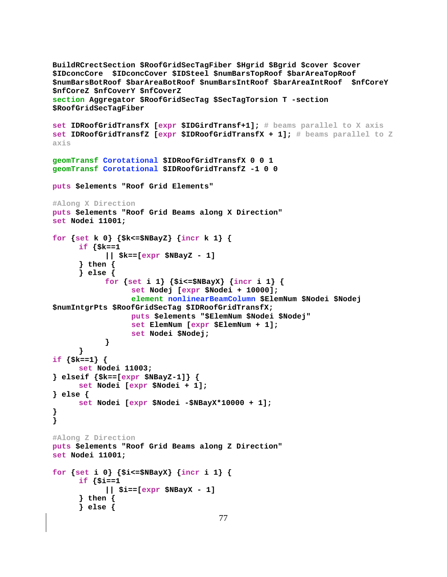```
BuildRCrectSection $RoofGridSecTagFiber $Hgrid $Bgrid $cover $cover
$IDconcCore $IDconcCover $IDSteel $numBarsTopRoof $barAreaTopRoof
$numBarsBotRoof $barAreaBotRoof $numBarsIntRoof $barAreaIntRoof $nfCoreY
$nfCoreZ $nfCoverY $nfCoverZ
section Aggregator $RoofGridSecTag $SecTagTorsion T -section
$RoofGridSecTagFiber
set IDRoofGridTransfX [expr $IDGirdTransf+1]; # beams parallel to X axis
set IDRoofGridTransfZ [expr $IDRoofGridTransfX + 1]; # beams parallel to Zaxis
geomTransf Corotational $IDRoofGridTransfX 0 0 1
geomTransf Corotational $IDRoofGridTransfZ -1 0 0
puts $elements "Roof Grid Elements"
#Along X Direction
puts $elements "Roof Grid Beams along X Direction"
set Nodei 11001;
for {set k 0} {$k<=$NBayZ} {incr k 1} {
      if \{$k==1
            || $k==[expr $NBayZ - 1]
      \} then {
      \} else \{for {set i 1} {$i<=$NBayX} {incr i 1} {
                 set Nodej [expr $Nodei + 10000];
                 element nonlinearBeamColumn $ElemNum $Nodei $Nodej
$numIntgrPts $RoofGridSecTag $IDRoofGridTransfX;
                 puts $elements "$ElemNum $Nodei $Nodej"
                 set ElemNum [expr $ElemNum + 1];
                 set Nodei $Nodej;
            }
      }
if {s = -1} {
     set Nodei 11003;
\} elseif \{ $k = = [expr $NBay Z-1] \} {
     set Nodei [expr $Nodei + 1];
\} else \{set Nodei [expr $Nodei -$NBayX*10000 + 1];
}
\mathcal{E}#Along Z Direction
puts $elements "Roof Grid Beams along Z Direction"
set Nodei 11001;
for {set i 0} {$i<=$NBayX} {incr i 1} {
     if \{\sin x = 1\}|| $i==[expr $NBayX - 1]
      \} then \{\} else \{77
```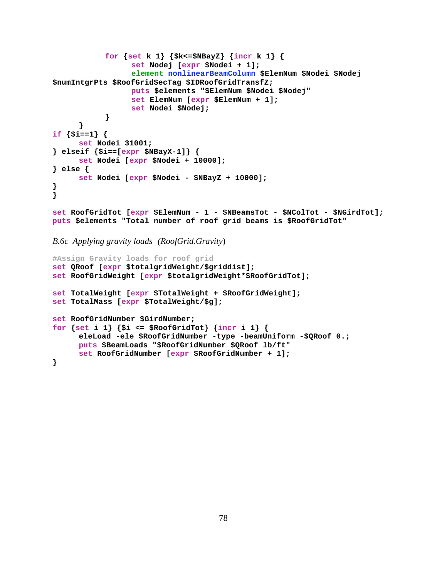```
for {set k 1} {$k<=$NBayZ} {incr k 1} {
                 set Nodej [expr $Nodei + 1];
                 element nonlinearBeamColumn $ElemNum $Nodei $Nodej
$numIntgrPts $RoofGridSecTag $IDRoofGridTransfZ;
                 puts $elements "$ElemNum $Nodei $Nodej"
                 set ElemNum [expr $ElemNum + 1];
                 set Nodei $Nodej;
            }
      ł
if {s_i == 1} {
     set Nodei 31001;
\} elseif \{$i = = [expr $NBayX-1]} \{set Nodei [expr $Nodei + 10000];
\} else \{set Nodei [expr $Nodei - $NBayZ + 10000];
ł
ł
set RoofGridTot [expr $ElemNum - 1 - $NBeamsTot - $NColTot - $NGirdTot];
puts $elements "Total number of roof grid beams is $RoofGridTot"
```
**B.6c** Applying gravity loads (RoofGrid.Gravity)

```
#Assign Gravity loads for roof grid
set QRoof [expr $totalgridWeight/$griddist];
set RoofGridWeight [expr $totalgridWeight*$RoofGridTot];
set TotalWeight [expr $TotalWeight + $RoofGridWeight];
set TotalMass [expr $TotalWeight/$g];
set RoofGridNumber $GirdNumber;
for {set i 1} {$i <= $RoofGridTot} {incr i 1} {
     eleLoad -ele $RoofGridNumber -type -beamUniform -$QRoof 0.;
     puts $BeamLoads "$RoofGridNumber $QRoof lb/ft"
     set RoofGridNumber [expr $RoofGridNumber + 1];
}
```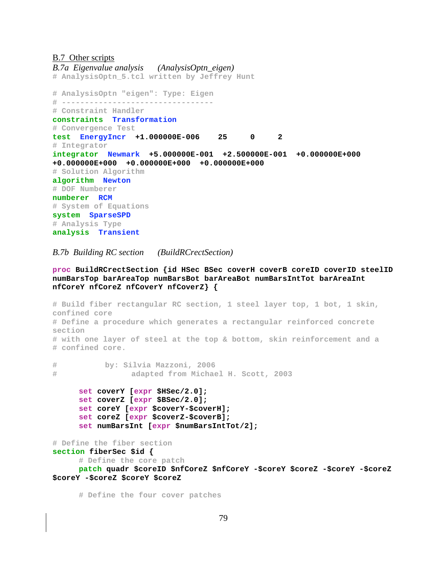#### **B.7** Other scripts

*B.7a Eigenvalue analysis (AnalysisOptn\_eigen)*  **# AnalysisOptn\_5.tcl written by Jeffrey Hunt # AnalysisOptn "eigen": Type: Eigen # --------------------------------- # Constraint Handler constraints Transformation # Convergence Test test EnergyIncr +1.000000E-006 25 0 2 # Integrator integrator Newmark +5.000000E-001 +2.500000E-001 +0.000000E+000 +0.000000E+000 +0.000000E+000 +0.000000E+000 # Solution Algorithm algorithm Newton # DOF Numberer numberer RCM # System of Equations system SparseSPD # Analysis Type analysis Transient** 

#### *B.7b Building RC section (BuildRCrectSection)*

**proc BuildRCrectSection {id HSec BSec coverH coverB coreID coverID steelID numBarsTop barAreaTop numBarsBot barAreaBot numBarsIntTot barAreaInt nfCoreY nfCoreZ nfCoverY nfCoverZ} {** 

```
# Build fiber rectangular RC section, 1 steel layer top, 1 bot, 1 skin, 
confined core 
# Define a procedure which generates a rectangular reinforced concrete 
section 
# with one layer of steel at the top & bottom, skin reinforcement and a 
# confined core. 
# by: Silvia Mazzoni, 2006 
# adapted from Michael H. Scott, 2003 
      set coverY [expr $HSec/2.0]; 
      set coverZ [expr $BSec/2.0]; 
      set coreY [expr $coverY-$coverH]; 
      set coreZ [expr $coverZ-$coverB]; 
      set numBarsInt [expr $numBarsIntTot/2]; 
# Define the fiber section 
section fiberSec $id { 
     # Define the core patch 
      patch quadr $coreID $nfCoreZ $nfCoreY -$coreY $coreZ -$coreY -$coreZ 
$coreY -$coreZ $coreY $coreZ 
      # Define the four cover patches
```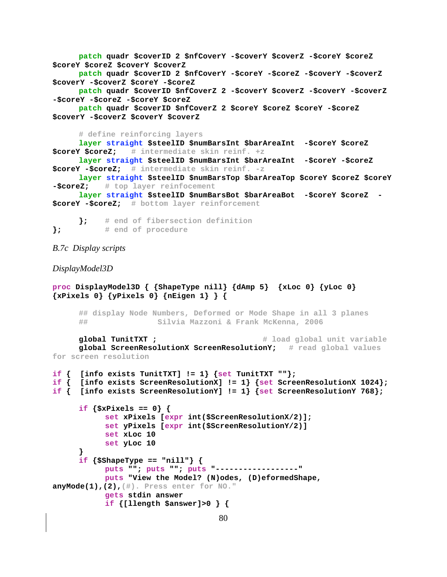```
 patch quadr $coverID 2 $nfCoverY -$coverY $coverZ -$coreY $coreZ 
$coreY $coreZ $coverY $coverZ 
      patch quadr $coverID 2 $nfCoverY -$coreY -$coreZ -$coverY -$coverZ 
$coverY -$coverZ $coreY -$coreZ 
      patch quadr $coverID $nfCoverZ 2 -$coverY $coverZ -$coverY -$coverZ 
-$coreY -$coreZ -$coreY $coreZ 
      patch quadr $coverID $nfCoverZ 2 $coreY $coreZ $coreY -$coreZ 
$coverY -$coverZ $coverY $coverZ 
       # define reinforcing layers 
       layer straight $steelID $numBarsInt $barAreaInt -$coreY $coreZ 
$coreY $coreZ; # intermediate skin reinf. +z
       layer straight $steelID $numBarsInt $barAreaInt -$coreY -$coreZ 
$coreY -$coreZ; # intermediate skin reinf. -z
       layer straight $steelID $numBarsTop $barAreaTop $coreY $coreZ $coreY 
-$coreZ; # top layer reinfocement
       layer straight $steelID $numBarsBot $barAreaBot -$coreY $coreZ -
$coreY -$coreZ; # bottom layer reinforcement
       }; # end of fibersection definition
}; # end of procedure
B.7c Display scripts 
DisplayModel3D 
proc DisplayModel3D { {ShapeType nill} {dAmp 5} {xLoc 0} {yLoc 0} 
{xPixels 0} {yPixels 0} {nEigen 1} } { 
       ## display Node Numbers, Deformed or Mode Shape in all 3 planes 
       ## Silvia Mazzoni & Frank McKenna, 2006 
      global TunitTXT ; \qquad \qquad \qquad \qquad \qquad \qquad \qquad \qquad \qquad \qquad \text{d global unit variable} global ScreenResolutionX ScreenResolutionY; # read global values 
for screen resolution
if \{ [info exists TunitTXT] != 1\} \{ set TunitTXT ""\};
if { [info exists ScreenResolutionX] != 1} {set ScreenResolutionX 1024}; 
if { [info exists ScreenResolutionY] != 1} {set ScreenResolutionY 768}; 
       if {$xPixels == 0} { 
             set xPixels [expr int($ScreenResolutionX/2)]; 
             set yPixels [expr int($ScreenResolutionY/2)] 
             set xLoc 10 
            set yLoc 10 
       } 
       if {$ShapeType == "nill"} { 
            puts ""; puts ""; puts "------------------" 
            puts "View the Model? (N)odes, (D)eformedShape, 
anyMode(1),(2),(#). Press enter for NO."
            gets stdin answer 
            if {[llength $answer]>0 } {
```

```
80
```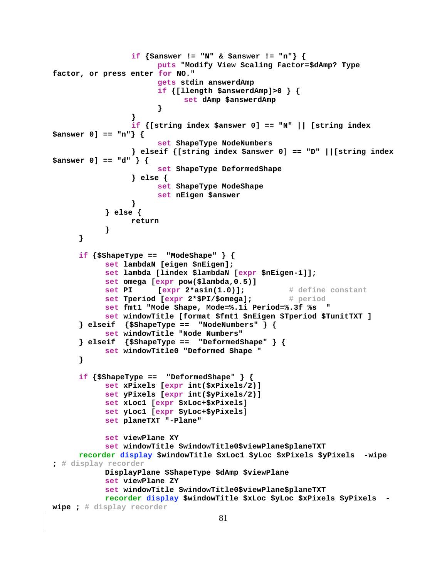```
 if {$answer != "N" & $answer != "n"} { 
                        puts "Modify View Scaling Factor=$dAmp? Type 
factor, or press enter for NO." 
                       gets stdin answerdAmp 
                        if {[llength $answerdAmp]>0 } { 
                             set dAmp $answerdAmp 
 } 
 } 
                  if {[string index $answer 0] == "N" || [string index 
$answer 0] == "n"} { 
                        set ShapeType NodeNumbers 
                  } elseif {[string index $answer 0] == "D" ||[string index 
$answer 0] == "d" } { 
                        set ShapeType DeformedShape 
                  } else { 
                       set ShapeType ModeShape 
                       set nEigen $answer 
 } 
            } else { 
                  return 
 } 
       } 
      if \{SShapeType == "Modelshape" \} set lambdaN [eigen $nEigen]; 
            set lambda [lindex $lambdaN [expr $nEigen-1]]; 
            set omega [expr pow($lambda,0.5)] 
           set PI [expr 2*asin(1.0)]; # define constant
            set Tperiod [expr 2*$PI/$omega]; # period
            set fmt1 "Mode Shape, Mode=%.1i Period=%.3f %s " 
            set windowTitle [format $fmt1 $nEigen $Tperiod $TunitTXT ] 
       } elseif {$ShapeType == "NodeNumbers" } { 
            set windowTitle "Node Numbers" 
       } elseif {$ShapeType == "DeformedShape" } { 
            set windowTitle0 "Deformed Shape " 
       } 
      if {$ShapeType == "DeformedShape" } { 
            set xPixels [expr int($xPixels/2)] 
            set yPixels [expr int($yPixels/2)] 
            set xLoc1 [expr $xLoc+$xPixels] 
            set yLoc1 [expr $yLoc+$yPixels] 
            set planeTXT "-Plane" 
            set viewPlane XY 
            set windowTitle $windowTitle0$viewPlane$planeTXT 
     recorder display $windowTitle $xLoc1 $yLoc $xPixels $yPixels -wipe 
; # display recorder
            DisplayPlane $ShapeType $dAmp $viewPlane 
            set viewPlane ZY 
            set windowTitle $windowTitle0$viewPlane$planeTXT 
            recorder display $windowTitle $xLoc $yLoc $xPixels $yPixels -
wipe ; # display recorder
```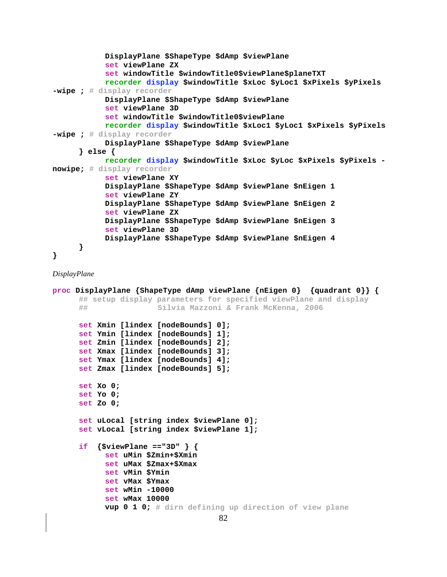```
 DisplayPlane $ShapeType $dAmp $viewPlane 
             set viewPlane ZX 
             set windowTitle $windowTitle0$viewPlane$planeTXT 
             recorder display $windowTitle $xLoc $yLoc1 $xPixels $yPixels 
-wipe ; # display recorder
             DisplayPlane $ShapeType $dAmp $viewPlane 
             set viewPlane 3D 
             set windowTitle $windowTitle0$viewPlane 
             recorder display $windowTitle $xLoc1 $yLoc1 $xPixels $yPixels 
-wipe ; # display recorder
             DisplayPlane $ShapeType $dAmp $viewPlane 
       } else { 
             recorder display $windowTitle $xLoc $yLoc $xPixels $yPixels -
nowipe; # display recorder
             set viewPlane XY 
             DisplayPlane $ShapeType $dAmp $viewPlane $nEigen 1 
             set viewPlane ZY 
             DisplayPlane $ShapeType $dAmp $viewPlane $nEigen 2 
             set viewPlane ZX 
             DisplayPlane $ShapeType $dAmp $viewPlane $nEigen 3 
             set viewPlane 3D 
             DisplayPlane $ShapeType $dAmp $viewPlane $nEigen 4 
       } 
}
```
*DisplayPlane* 

```
proc DisplayPlane {ShapeType dAmp viewPlane {nEigen 0} {quadrant 0}} { 
       ## setup display parameters for specified viewPlane and display 
       ## Silvia Mazzoni & Frank McKenna, 2006 
       set Xmin [lindex [nodeBounds] 0];
       set Ymin [lindex [nodeBounds] 1]; 
       set Zmin [lindex [nodeBounds] 2]; 
       set Xmax [lindex [nodeBounds] 3]; 
       set Ymax [lindex [nodeBounds] 4]; 
       set Zmax [lindex [nodeBounds] 5]; 
       set Xo 0;
       set Yo 0; 
       set Zo 0; 
       set uLocal [string index $viewPlane 0];
       set vLocal [string index $viewPlane 1]; 
       if {$viewPlane =="3D" } { 
             set uMin $Zmin+$Xmin 
             set uMax $Zmax+$Xmax 
             set vMin $Ymin 
            set vMax $Ymax 
            set wMin -10000 
            set wMax 10000 
            vup 0 1 0; # dirn defining up direction of view plane
```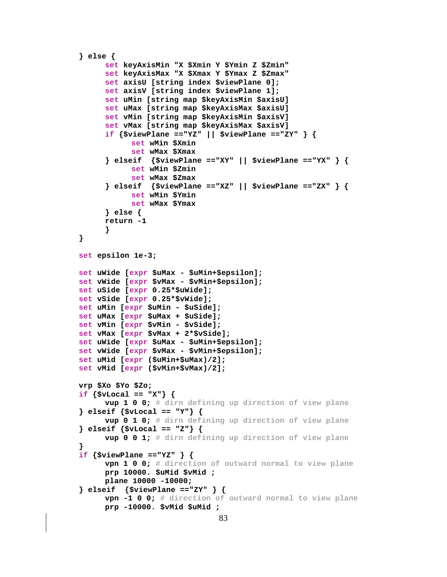```
\} else \{set keyAxisMin "X $Xmin Y $Ymin Z $Zmin"
     set keyAxisMax "X $Xmax Y $Ymax Z $Zmax"
      set axisU [string index $viewPlane 0];
     set axisV [string index $viewPlane 1];
      set uMin [string map $keyAxisMin $axisU]
     set uMax [string map $keyAxisMax $axisU]
     set vMin [string map $keyAxisMin $axisV]
     set vMax [string map $keyAxisMax $axisV]
      if \{SviewPlane == "YZ" || SviewPlane == "ZY" \}set wMin $Xmin
           set wMax $Xmax
      } elseif {$viewPlane =="XY" || $viewPlane =="YX" } {
           set wMin $Zmin
           set wMax $Zmax
      \} elseif \{$viewPlane =="XZ" || $viewPlane =="ZX" } {
           set wMin $Ymin
           set wMax $Ymax
      \} else \{return -1
      ł
<sup>}</sup>
set epsilon 1e-3;
set uWide [expr $uMax - $uMin+$epsilon];
set vWide [expr $vMax - $vMin+$epsilon];
set uSide [expr 0.25*$uWide];
set vSide [expr 0.25*$vWide];
set uMin [expr $uMin - $uSide];
set uMax [expr $uMax + $uSide];
set vMin [expr $vMin - $vSide];
set vMax [expr $vMax + 2*$vSide];
set uWide [expr $uMax - $uMin+$epsilon];
set vWide [expr $vMax - $vMin+$epsilon];
set uMid [expr ($uMin+$uMax)/2];
set vMid [expr ($vMin+$vMax)/2];
vrp $Xo $Yo $Zo;
if \{SvLocal == "X"\}vup 1 0 0; # dirn defining up direction of view plane
} elseif {svLocal == "Y"} {
     vup 0 1 0; # dirn defining up direction of view plane
\} elseif \{ $vLocal == "Z"\} {
     vup 0 0 1; # dirn defining up direction of view plane
if \{5viewPlane =="YZ" } {
     vpn 1 0 0; # direction of outward normal to view plane
     prp 10000. $uMid $vMid ;
     plane 10000 -10000;
\} elseif \{5viewPlane =="ZY" } {
     vpn -1 0 0; # direction of outward normal to view plane
     prp -10000. $vMid $uMid ;
```

```
83
```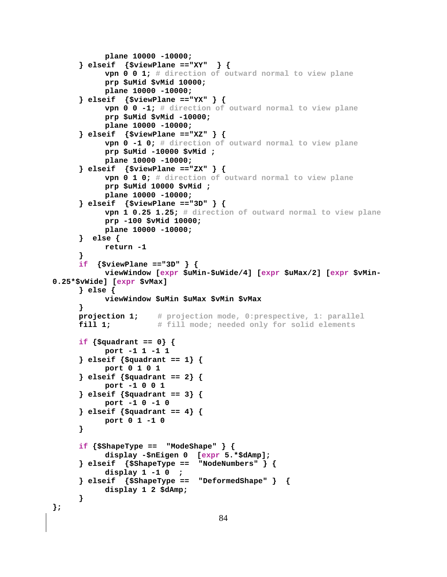```
 plane 10000 -10000; 
       } elseif {$viewPlane =="XY" } { 
             vpn 0 0 1; # direction of outward normal to view plane
             prp $uMid $vMid 10000; 
             plane 10000 -10000; 
       } elseif {$viewPlane =="YX" } { 
             vpn 0 0 -1; # direction of outward normal to view plane
             prp $uMid $vMid -10000; 
             plane 10000 -10000; 
       } elseif {$viewPlane =="XZ" } { 
             vpn 0 -1 0; # direction of outward normal to view plane
             prp $uMid -10000 $vMid ; 
             plane 10000 -10000; 
       } elseif {$viewPlane =="ZX" } { 
             vpn 0 1 0; # direction of outward normal to view plane
             prp $uMid 10000 $vMid ; 
             plane 10000 -10000; 
       } elseif {$viewPlane =="3D" } { 
             vpn 1 0.25 1.25; # direction of outward normal to view plane
             prp -100 $vMid 10000; 
             plane 10000 -10000; 
       } else { 
            return -1 
       } 
       if {$viewPlane =="3D" } { 
             viewWindow [expr $uMin-$uWide/4] [expr $uMax/2] [expr $vMin-
0.25*$vWide] [expr $vMax] 
       } else { 
             viewWindow $uMin $uMax $vMin $vMax 
       } 
      projection 1; # projection mode, 0:prespective, 1: parallel
      fill 1; # fill mode; needed only for solid elements
       if {$quadrant == 0} { 
             port -1 1 -1 1 
       } elseif {$quadrant == 1} { 
             port 0 1 0 1 
       } elseif {$quadrant == 2} { 
             port -1 0 0 1 
       } elseif {$quadrant == 3} { 
             port -1 0 -1 0 
       } elseif {$quadrant == 4} { 
             port 0 1 -1 0 
       } 
       if {$ShapeType == "ModeShape" } { 
             display -$nEigen 0 [expr 5.*$dAmp]; 
       } elseif {$ShapeType == "NodeNumbers" } { 
             display 1 -1 0 ; 
       } elseif {$ShapeType == "DeformedShape" } { 
             display 1 2 $dAmp; 
       } 
};
```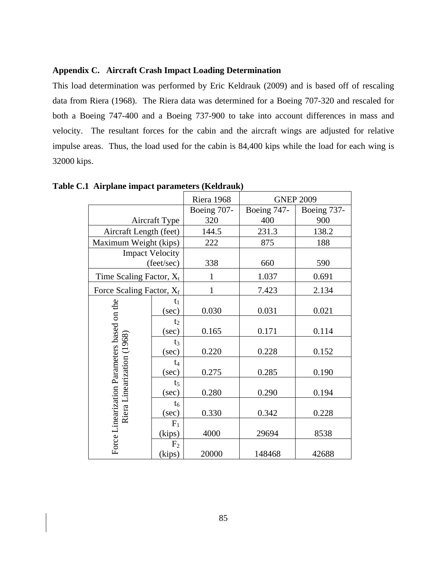### **Appendix C. Aircraft Crash Impact Loading Determination**

This load determination was performed by Eric Keldrauk (2009) and is based off of rescaling data from Riera (1968). The Riera data was determined for a Boeing 707-320 and rescaled for both a Boeing 747-400 and a Boeing 737-900 to take into account differences in mass and velocity. The resultant forces for the cabin and the aircraft wings are adjusted for relative impulse areas. Thus, the load used for the cabin is 84,400 kips while the load for each wing is 32000 kips.

|                                                                           |                          | Riera 1968   | <b>GNEP 2009</b> |             |
|---------------------------------------------------------------------------|--------------------------|--------------|------------------|-------------|
|                                                                           |                          | Boeing 707-  | Boeing 747-      | Boeing 737- |
| Aircraft Type                                                             |                          | 320          | 400              | 900         |
| Aircraft Length (feet)                                                    |                          | 144.5        | 231.3            | 138.2       |
| Maximum Weight (kips)                                                     |                          | 222          | 875              | 188         |
| <b>Impact Velocity</b>                                                    |                          |              |                  |             |
|                                                                           | (feet/sec)               | 338          | 660              | 590         |
| Time Scaling Factor, $X_t$                                                |                          | 1            | 1.037            | 0.691       |
| Force Scaling Factor, $X_f$                                               |                          | $\mathbf{1}$ | 7.423            | 2.134       |
|                                                                           | $t_1$<br>(sec)           | 0.030        | 0.031            | 0.021       |
|                                                                           | t <sub>2</sub><br>(sec)  | 0.165        | 0.171            | 0.114       |
| Force Linearization Parameters based on the<br>Riera Linearization (1968) | $t_3$<br>(sec)           | 0.220        | 0.228            | 0.152       |
|                                                                           | $t_4$<br>(sec)           | 0.275        | 0.285            | 0.190       |
|                                                                           | t <sub>5</sub><br>(sec)  | 0.280        | 0.290            | 0.194       |
|                                                                           | $t_6$<br>(sec)           | 0.330        | 0.342            | 0.228       |
|                                                                           | $F_1$<br>(kips)          | 4000         | 29694            | 8538        |
|                                                                           | F <sub>2</sub><br>(kips) | 20000        | 148468           | 42688       |

**Table C.1 Airplane impact parameters (Keldrauk)**